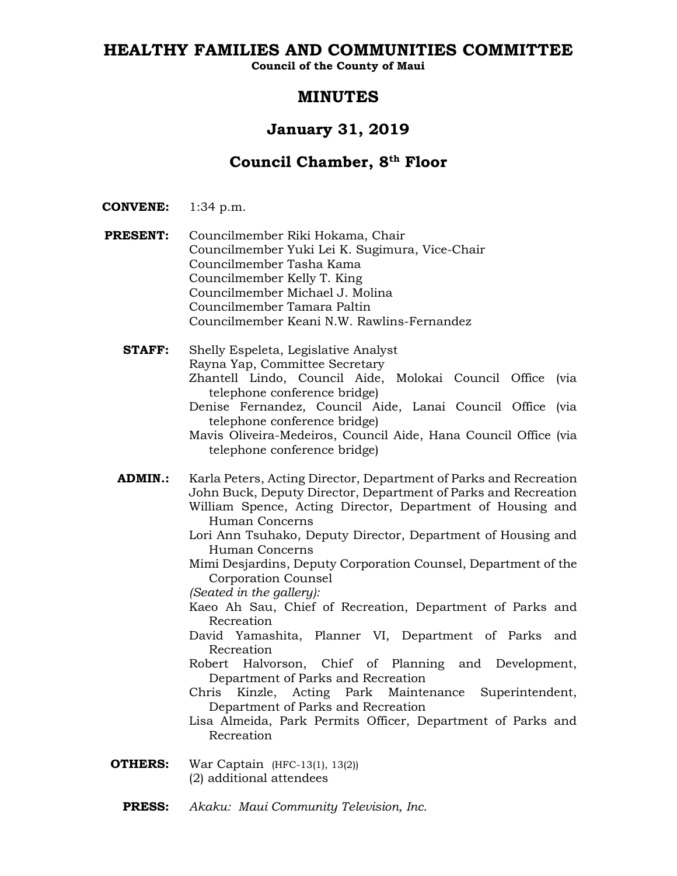# **HEALTHY FAMILIES AND COMMUNITIES COMMITTEE**

**Council of the County of Maui**

# **MINUTES**

# **January 31, 2019**

# **Council Chamber, 8th Floor**

- **CONVENE:** 1:34 p.m.
- **PRESENT:** Councilmember Riki Hokama, Chair Councilmember Yuki Lei K. Sugimura, Vice-Chair Councilmember Tasha Kama Councilmember Kelly T. King Councilmember Michael J. Molina Councilmember Tamara Paltin Councilmember Keani N.W. Rawlins-Fernandez
	- **STAFF:** Shelly Espeleta, Legislative Analyst Rayna Yap, Committee Secretary Zhantell Lindo, Council Aide, Molokai Council Office (via telephone conference bridge)
		- Denise Fernandez, Council Aide, Lanai Council Office (via telephone conference bridge)

Mavis Oliveira-Medeiros, Council Aide, Hana Council Office (via telephone conference bridge)

- **ADMIN.:** Karla Peters, Acting Director, Department of Parks and Recreation John Buck, Deputy Director, Department of Parks and Recreation William Spence, Acting Director, Department of Housing and Human Concerns
	- Lori Ann Tsuhako, Deputy Director, Department of Housing and Human Concerns

Mimi Desjardins, Deputy Corporation Counsel, Department of the Corporation Counsel

*(Seated in the gallery):*

- Kaeo Ah Sau, Chief of Recreation, Department of Parks and Recreation
- David Yamashita, Planner VI, Department of Parks and Recreation
- Robert Halvorson, Chief of Planning and Development, Department of Parks and Recreation
- Chris Kinzle, Acting Park Maintenance Superintendent, Department of Parks and Recreation
- Lisa Almeida, Park Permits Officer, Department of Parks and Recreation
- **OTHERS:** War Captain (HFC-13(1), 13(2)) (2) additional attendees
	- **PRESS:** *Akaku: Maui Community Television, Inc.*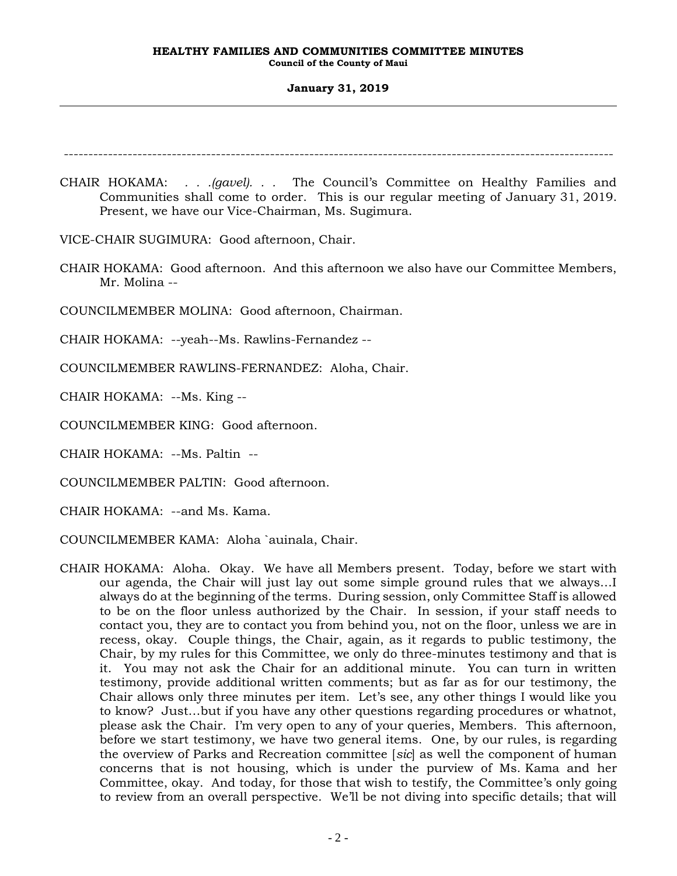### **January 31, 2019**

----------------------------------------------------------------------------------------------------------------

CHAIR HOKAMA: *. . .(gavel). . .* The Council's Committee on Healthy Families and Communities shall come to order. This is our regular meeting of January 31, 2019. Present, we have our Vice-Chairman, Ms. Sugimura.

VICE-CHAIR SUGIMURA: Good afternoon, Chair.

CHAIR HOKAMA: Good afternoon. And this afternoon we also have our Committee Members, Mr. Molina --

COUNCILMEMBER MOLINA: Good afternoon, Chairman.

CHAIR HOKAMA: --yeah--Ms. Rawlins-Fernandez --

COUNCILMEMBER RAWLINS-FERNANDEZ: Aloha, Chair.

CHAIR HOKAMA: --Ms. King --

COUNCILMEMBER KING: Good afternoon.

CHAIR HOKAMA: --Ms. Paltin --

COUNCILMEMBER PALTIN: Good afternoon.

CHAIR HOKAMA: --and Ms. Kama.

COUNCILMEMBER KAMA: Aloha `auinala, Chair.

CHAIR HOKAMA: Aloha. Okay. We have all Members present. Today, before we start with our agenda, the Chair will just lay out some simple ground rules that we always…I always do at the beginning of the terms. During session, only Committee Staff is allowed to be on the floor unless authorized by the Chair. In session, if your staff needs to contact you, they are to contact you from behind you, not on the floor, unless we are in recess, okay. Couple things, the Chair, again, as it regards to public testimony, the Chair, by my rules for this Committee, we only do three-minutes testimony and that is it. You may not ask the Chair for an additional minute. You can turn in written testimony, provide additional written comments; but as far as for our testimony, the Chair allows only three minutes per item. Let's see, any other things I would like you to know? Just…but if you have any other questions regarding procedures or whatnot, please ask the Chair. I'm very open to any of your queries, Members. This afternoon, before we start testimony, we have two general items. One, by our rules, is regarding the overview of Parks and Recreation committee [*sic*] as well the component of human concerns that is not housing, which is under the purview of Ms. Kama and her Committee, okay. And today, for those that wish to testify, the Committee's only going to review from an overall perspective. We'll be not diving into specific details; that will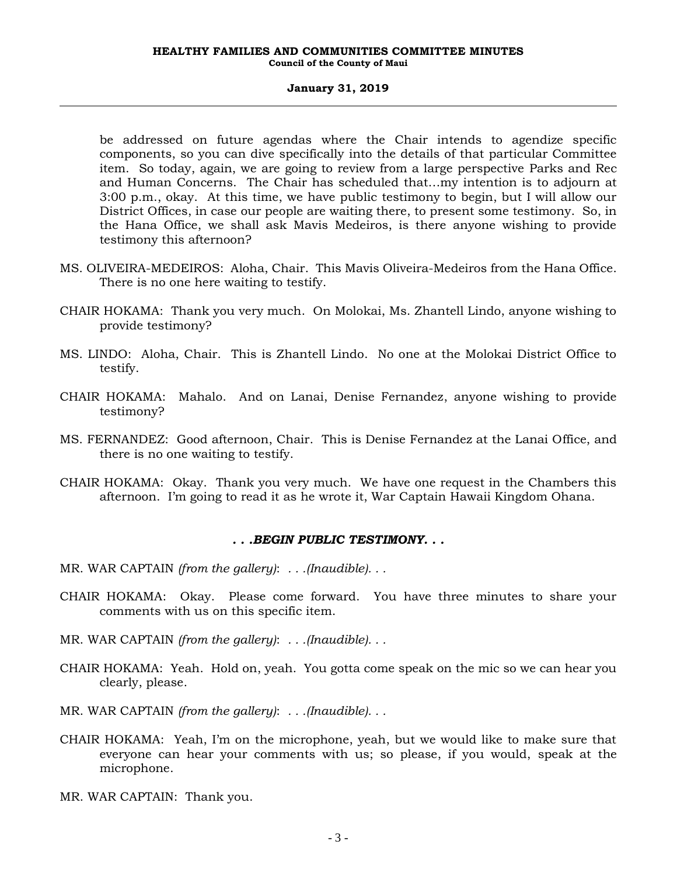be addressed on future agendas where the Chair intends to agendize specific components, so you can dive specifically into the details of that particular Committee item. So today, again, we are going to review from a large perspective Parks and Rec and Human Concerns. The Chair has scheduled that…my intention is to adjourn at 3:00 p.m., okay. At this time, we have public testimony to begin, but I will allow our District Offices, in case our people are waiting there, to present some testimony. So, in the Hana Office, we shall ask Mavis Medeiros, is there anyone wishing to provide testimony this afternoon?

- MS. OLIVEIRA-MEDEIROS: Aloha, Chair. This Mavis Oliveira-Medeiros from the Hana Office. There is no one here waiting to testify.
- CHAIR HOKAMA: Thank you very much. On Molokai, Ms. Zhantell Lindo, anyone wishing to provide testimony?
- MS. LINDO: Aloha, Chair. This is Zhantell Lindo. No one at the Molokai District Office to testify.
- CHAIR HOKAMA: Mahalo. And on Lanai, Denise Fernandez, anyone wishing to provide testimony?
- MS. FERNANDEZ: Good afternoon, Chair. This is Denise Fernandez at the Lanai Office, and there is no one waiting to testify.
- CHAIR HOKAMA: Okay. Thank you very much. We have one request in the Chambers this afternoon. I'm going to read it as he wrote it, War Captain Hawaii Kingdom Ohana.

# *. . .BEGIN PUBLIC TESTIMONY. . .*

- MR. WAR CAPTAIN *(from the gallery)*: *. . .(Inaudible). . .*
- CHAIR HOKAMA: Okay. Please come forward. You have three minutes to share your comments with us on this specific item.
- MR. WAR CAPTAIN *(from the gallery)*: *. . .(Inaudible). . .*
- CHAIR HOKAMA: Yeah. Hold on, yeah. You gotta come speak on the mic so we can hear you clearly, please.
- MR. WAR CAPTAIN *(from the gallery)*: *. . .(Inaudible). . .*
- CHAIR HOKAMA: Yeah, I'm on the microphone, yeah, but we would like to make sure that everyone can hear your comments with us; so please, if you would, speak at the microphone.
- MR. WAR CAPTAIN: Thank you.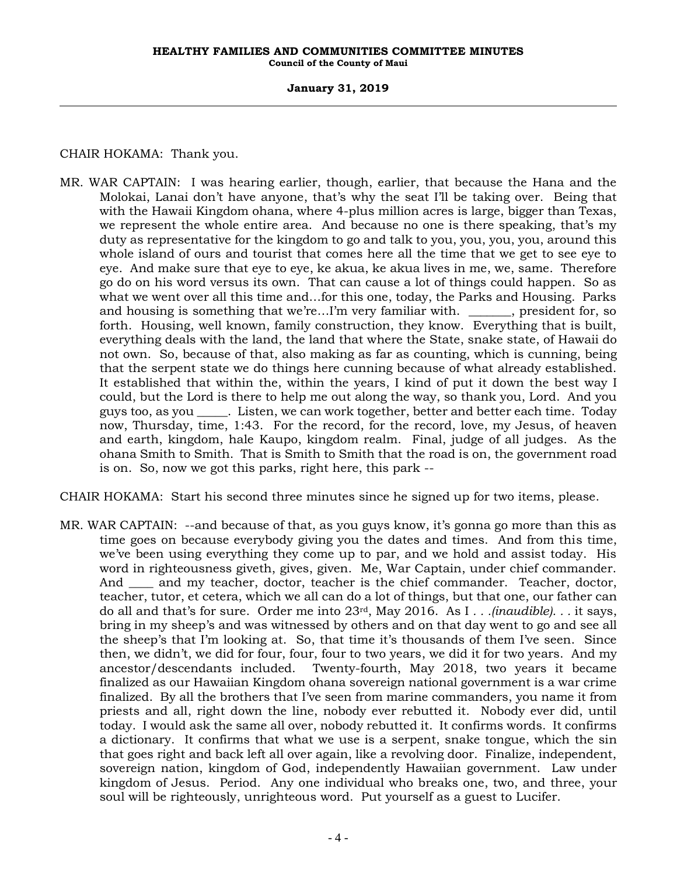### **January 31, 2019**

CHAIR HOKAMA: Thank you.

MR. WAR CAPTAIN: I was hearing earlier, though, earlier, that because the Hana and the Molokai, Lanai don't have anyone, that's why the seat I'll be taking over. Being that with the Hawaii Kingdom ohana, where 4-plus million acres is large, bigger than Texas, we represent the whole entire area. And because no one is there speaking, that's my duty as representative for the kingdom to go and talk to you, you, you, you, around this whole island of ours and tourist that comes here all the time that we get to see eye to eye. And make sure that eye to eye, ke akua, ke akua lives in me, we, same. Therefore go do on his word versus its own. That can cause a lot of things could happen. So as what we went over all this time and…for this one, today, the Parks and Housing. Parks and housing is something that we're...I'm very familiar with.  $\qquad \qquad$ , president for, so forth. Housing, well known, family construction, they know. Everything that is built, everything deals with the land, the land that where the State, snake state, of Hawaii do not own. So, because of that, also making as far as counting, which is cunning, being that the serpent state we do things here cunning because of what already established. It established that within the, within the years, I kind of put it down the best way I could, but the Lord is there to help me out along the way, so thank you, Lord. And you guys too, as you \_\_\_\_\_. Listen, we can work together, better and better each time. Today now, Thursday, time, 1:43. For the record, for the record, love, my Jesus, of heaven and earth, kingdom, hale Kaupo, kingdom realm. Final, judge of all judges. As the ohana Smith to Smith. That is Smith to Smith that the road is on, the government road is on. So, now we got this parks, right here, this park --

CHAIR HOKAMA: Start his second three minutes since he signed up for two items, please.

MR. WAR CAPTAIN: --and because of that, as you guys know, it's gonna go more than this as time goes on because everybody giving you the dates and times. And from this time, we've been using everything they come up to par, and we hold and assist today. His word in righteousness giveth, gives, given. Me, War Captain, under chief commander. And \_\_\_\_ and my teacher, doctor, teacher is the chief commander. Teacher, doctor, teacher, tutor, et cetera, which we all can do a lot of things, but that one, our father can do all and that's for sure. Order me into 23rd, May 2016. As I *. . .(inaudible). . .* it says, bring in my sheep's and was witnessed by others and on that day went to go and see all the sheep's that I'm looking at. So, that time it's thousands of them I've seen. Since then, we didn't, we did for four, four, four to two years, we did it for two years. And my ancestor/descendants included. Twenty-fourth, May 2018, two years it became finalized as our Hawaiian Kingdom ohana sovereign national government is a war crime finalized. By all the brothers that I've seen from marine commanders, you name it from priests and all, right down the line, nobody ever rebutted it. Nobody ever did, until today. I would ask the same all over, nobody rebutted it. It confirms words. It confirms a dictionary. It confirms that what we use is a serpent, snake tongue, which the sin that goes right and back left all over again, like a revolving door. Finalize, independent, sovereign nation, kingdom of God, independently Hawaiian government. Law under kingdom of Jesus. Period. Any one individual who breaks one, two, and three, your soul will be righteously, unrighteous word. Put yourself as a guest to Lucifer.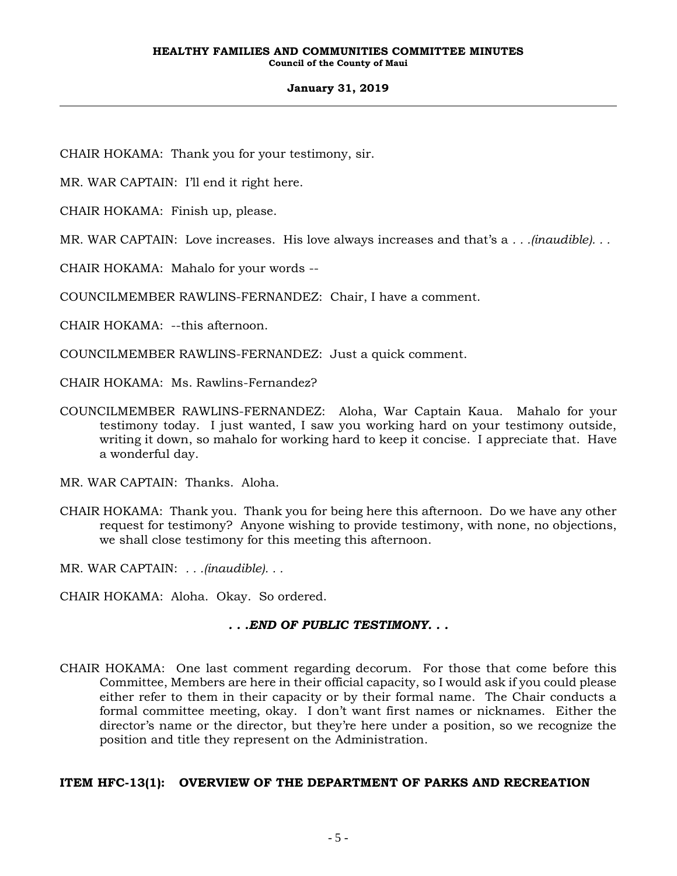# **January 31, 2019**

CHAIR HOKAMA: Thank you for your testimony, sir.

MR. WAR CAPTAIN: I'll end it right here.

CHAIR HOKAMA: Finish up, please.

MR. WAR CAPTAIN: Love increases. His love always increases and that's a *. . .(inaudible). . .*

CHAIR HOKAMA: Mahalo for your words --

COUNCILMEMBER RAWLINS-FERNANDEZ: Chair, I have a comment.

CHAIR HOKAMA: --this afternoon.

COUNCILMEMBER RAWLINS-FERNANDEZ: Just a quick comment.

CHAIR HOKAMA: Ms. Rawlins-Fernandez?

COUNCILMEMBER RAWLINS-FERNANDEZ: Aloha, War Captain Kaua. Mahalo for your testimony today. I just wanted, I saw you working hard on your testimony outside, writing it down, so mahalo for working hard to keep it concise. I appreciate that. Have a wonderful day.

MR. WAR CAPTAIN: Thanks. Aloha.

CHAIR HOKAMA: Thank you. Thank you for being here this afternoon. Do we have any other request for testimony? Anyone wishing to provide testimony, with none, no objections, we shall close testimony for this meeting this afternoon.

MR. WAR CAPTAIN: *. . .(inaudible). . .*

CHAIR HOKAMA: Aloha. Okay. So ordered.

# *. . .END OF PUBLIC TESTIMONY. . .*

CHAIR HOKAMA: One last comment regarding decorum. For those that come before this Committee, Members are here in their official capacity, so I would ask if you could please either refer to them in their capacity or by their formal name. The Chair conducts a formal committee meeting, okay. I don't want first names or nicknames. Either the director's name or the director, but they're here under a position, so we recognize the position and title they represent on the Administration.

# **ITEM HFC-13(1): OVERVIEW OF THE DEPARTMENT OF PARKS AND RECREATION**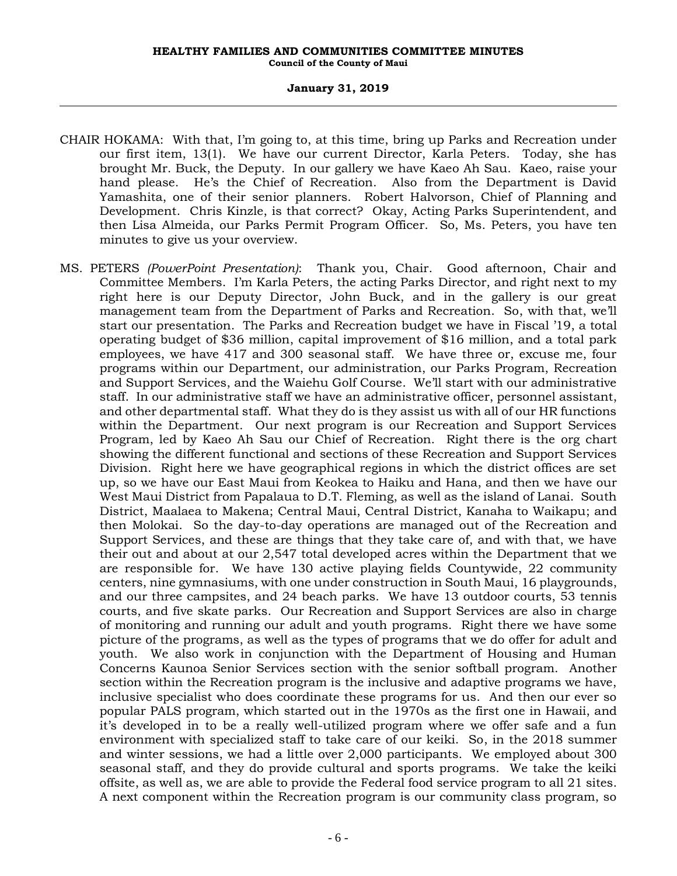### **January 31, 2019**

- CHAIR HOKAMA: With that, I'm going to, at this time, bring up Parks and Recreation under our first item, 13(1). We have our current Director, Karla Peters. Today, she has brought Mr. Buck, the Deputy. In our gallery we have Kaeo Ah Sau. Kaeo, raise your hand please. He's the Chief of Recreation. Also from the Department is David Yamashita, one of their senior planners. Robert Halvorson, Chief of Planning and Development. Chris Kinzle, is that correct? Okay, Acting Parks Superintendent, and then Lisa Almeida, our Parks Permit Program Officer. So, Ms. Peters, you have ten minutes to give us your overview.
- MS. PETERS *(PowerPoint Presentation)*: Thank you, Chair. Good afternoon, Chair and Committee Members. I'm Karla Peters, the acting Parks Director, and right next to my right here is our Deputy Director, John Buck, and in the gallery is our great management team from the Department of Parks and Recreation. So, with that, we'll start our presentation. The Parks and Recreation budget we have in Fiscal '19, a total operating budget of \$36 million, capital improvement of \$16 million, and a total park employees, we have 417 and 300 seasonal staff. We have three or, excuse me, four programs within our Department, our administration, our Parks Program, Recreation and Support Services, and the Waiehu Golf Course. We'll start with our administrative staff. In our administrative staff we have an administrative officer, personnel assistant, and other departmental staff. What they do is they assist us with all of our HR functions within the Department. Our next program is our Recreation and Support Services Program, led by Kaeo Ah Sau our Chief of Recreation. Right there is the org chart showing the different functional and sections of these Recreation and Support Services Division. Right here we have geographical regions in which the district offices are set up, so we have our East Maui from Keokea to Haiku and Hana, and then we have our West Maui District from Papalaua to D.T. Fleming, as well as the island of Lanai. South District, Maalaea to Makena; Central Maui, Central District, Kanaha to Waikapu; and then Molokai. So the day-to-day operations are managed out of the Recreation and Support Services, and these are things that they take care of, and with that, we have their out and about at our 2,547 total developed acres within the Department that we are responsible for. We have 130 active playing fields Countywide, 22 community centers, nine gymnasiums, with one under construction in South Maui, 16 playgrounds, and our three campsites, and 24 beach parks. We have 13 outdoor courts, 53 tennis courts, and five skate parks. Our Recreation and Support Services are also in charge of monitoring and running our adult and youth programs. Right there we have some picture of the programs, as well as the types of programs that we do offer for adult and youth. We also work in conjunction with the Department of Housing and Human Concerns Kaunoa Senior Services section with the senior softball program. Another section within the Recreation program is the inclusive and adaptive programs we have, inclusive specialist who does coordinate these programs for us. And then our ever so popular PALS program, which started out in the 1970s as the first one in Hawaii, and it's developed in to be a really well-utilized program where we offer safe and a fun environment with specialized staff to take care of our keiki. So, in the 2018 summer and winter sessions, we had a little over 2,000 participants. We employed about 300 seasonal staff, and they do provide cultural and sports programs. We take the keiki offsite, as well as, we are able to provide the Federal food service program to all 21 sites. A next component within the Recreation program is our community class program, so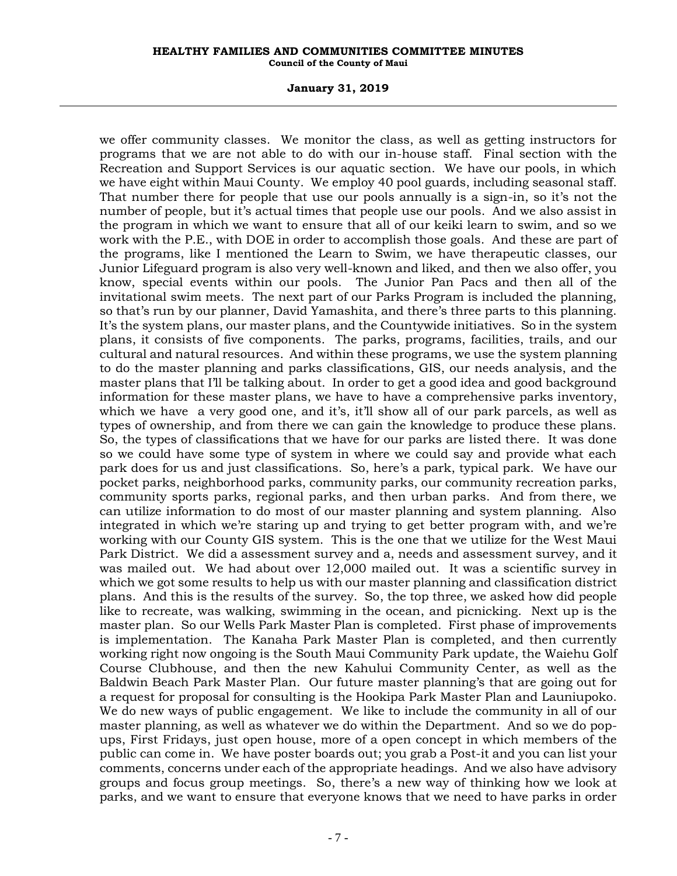### **January 31, 2019**

we offer community classes. We monitor the class, as well as getting instructors for programs that we are not able to do with our in-house staff. Final section with the Recreation and Support Services is our aquatic section. We have our pools, in which we have eight within Maui County. We employ 40 pool guards, including seasonal staff. That number there for people that use our pools annually is a sign-in, so it's not the number of people, but it's actual times that people use our pools. And we also assist in the program in which we want to ensure that all of our keiki learn to swim, and so we work with the P.E., with DOE in order to accomplish those goals. And these are part of the programs, like I mentioned the Learn to Swim, we have therapeutic classes, our Junior Lifeguard program is also very well-known and liked, and then we also offer, you know, special events within our pools. The Junior Pan Pacs and then all of the invitational swim meets. The next part of our Parks Program is included the planning, so that's run by our planner, David Yamashita, and there's three parts to this planning. It's the system plans, our master plans, and the Countywide initiatives. So in the system plans, it consists of five components. The parks, programs, facilities, trails, and our cultural and natural resources. And within these programs, we use the system planning to do the master planning and parks classifications, GIS, our needs analysis, and the master plans that I'll be talking about. In order to get a good idea and good background information for these master plans, we have to have a comprehensive parks inventory, which we have a very good one, and it's, it'll show all of our park parcels, as well as types of ownership, and from there we can gain the knowledge to produce these plans. So, the types of classifications that we have for our parks are listed there. It was done so we could have some type of system in where we could say and provide what each park does for us and just classifications. So, here's a park, typical park. We have our pocket parks, neighborhood parks, community parks, our community recreation parks, community sports parks, regional parks, and then urban parks. And from there, we can utilize information to do most of our master planning and system planning. Also integrated in which we're staring up and trying to get better program with, and we're working with our County GIS system. This is the one that we utilize for the West Maui Park District. We did a assessment survey and a, needs and assessment survey, and it was mailed out. We had about over 12,000 mailed out. It was a scientific survey in which we got some results to help us with our master planning and classification district plans. And this is the results of the survey. So, the top three, we asked how did people like to recreate, was walking, swimming in the ocean, and picnicking. Next up is the master plan. So our Wells Park Master Plan is completed. First phase of improvements is implementation. The Kanaha Park Master Plan is completed, and then currently working right now ongoing is the South Maui Community Park update, the Waiehu Golf Course Clubhouse, and then the new Kahului Community Center, as well as the Baldwin Beach Park Master Plan. Our future master planning's that are going out for a request for proposal for consulting is the Hookipa Park Master Plan and Launiupoko. We do new ways of public engagement. We like to include the community in all of our master planning, as well as whatever we do within the Department. And so we do popups, First Fridays, just open house, more of a open concept in which members of the public can come in. We have poster boards out; you grab a Post-it and you can list your comments, concerns under each of the appropriate headings. And we also have advisory groups and focus group meetings. So, there's a new way of thinking how we look at parks, and we want to ensure that everyone knows that we need to have parks in order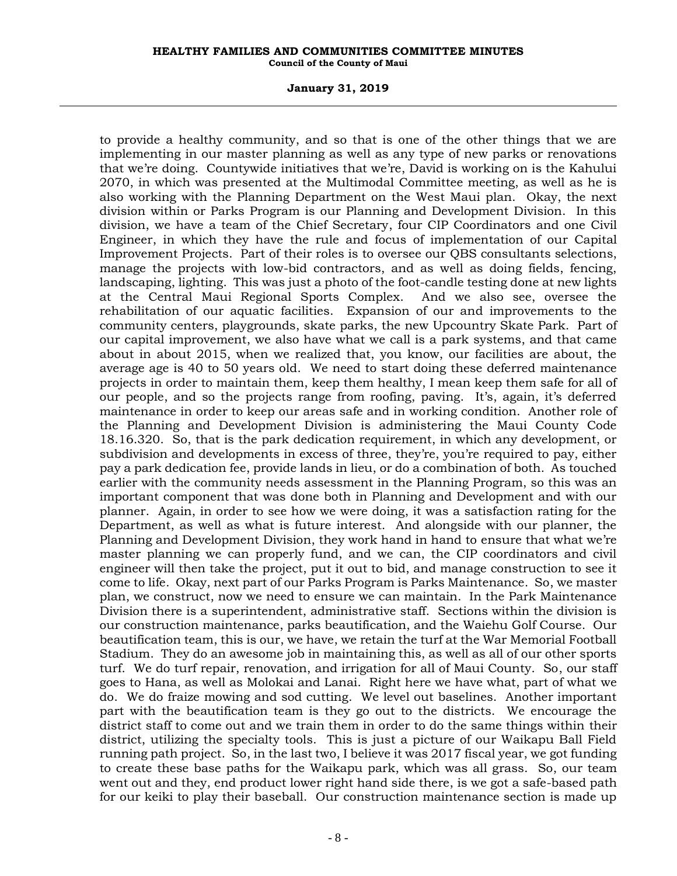### **January 31, 2019**

to provide a healthy community, and so that is one of the other things that we are implementing in our master planning as well as any type of new parks or renovations that we're doing. Countywide initiatives that we're, David is working on is the Kahului 2070, in which was presented at the Multimodal Committee meeting, as well as he is also working with the Planning Department on the West Maui plan. Okay, the next division within or Parks Program is our Planning and Development Division. In this division, we have a team of the Chief Secretary, four CIP Coordinators and one Civil Engineer, in which they have the rule and focus of implementation of our Capital Improvement Projects. Part of their roles is to oversee our QBS consultants selections, manage the projects with low-bid contractors, and as well as doing fields, fencing, landscaping, lighting. This was just a photo of the foot-candle testing done at new lights at the Central Maui Regional Sports Complex. And we also see, oversee the rehabilitation of our aquatic facilities. Expansion of our and improvements to the community centers, playgrounds, skate parks, the new Upcountry Skate Park. Part of our capital improvement, we also have what we call is a park systems, and that came about in about 2015, when we realized that, you know, our facilities are about, the average age is 40 to 50 years old. We need to start doing these deferred maintenance projects in order to maintain them, keep them healthy, I mean keep them safe for all of our people, and so the projects range from roofing, paving. It's, again, it's deferred maintenance in order to keep our areas safe and in working condition. Another role of the Planning and Development Division is administering the Maui County Code 18.16.320. So, that is the park dedication requirement, in which any development, or subdivision and developments in excess of three, they're, you're required to pay, either pay a park dedication fee, provide lands in lieu, or do a combination of both. As touched earlier with the community needs assessment in the Planning Program, so this was an important component that was done both in Planning and Development and with our planner. Again, in order to see how we were doing, it was a satisfaction rating for the Department, as well as what is future interest. And alongside with our planner, the Planning and Development Division, they work hand in hand to ensure that what we're master planning we can properly fund, and we can, the CIP coordinators and civil engineer will then take the project, put it out to bid, and manage construction to see it come to life. Okay, next part of our Parks Program is Parks Maintenance. So, we master plan, we construct, now we need to ensure we can maintain. In the Park Maintenance Division there is a superintendent, administrative staff. Sections within the division is our construction maintenance, parks beautification, and the Waiehu Golf Course. Our beautification team, this is our, we have, we retain the turf at the War Memorial Football Stadium. They do an awesome job in maintaining this, as well as all of our other sports turf. We do turf repair, renovation, and irrigation for all of Maui County. So, our staff goes to Hana, as well as Molokai and Lanai. Right here we have what, part of what we do. We do fraize mowing and sod cutting. We level out baselines. Another important part with the beautification team is they go out to the districts. We encourage the district staff to come out and we train them in order to do the same things within their district, utilizing the specialty tools. This is just a picture of our Waikapu Ball Field running path project. So, in the last two, I believe it was 2017 fiscal year, we got funding to create these base paths for the Waikapu park, which was all grass. So, our team went out and they, end product lower right hand side there, is we got a safe-based path for our keiki to play their baseball. Our construction maintenance section is made up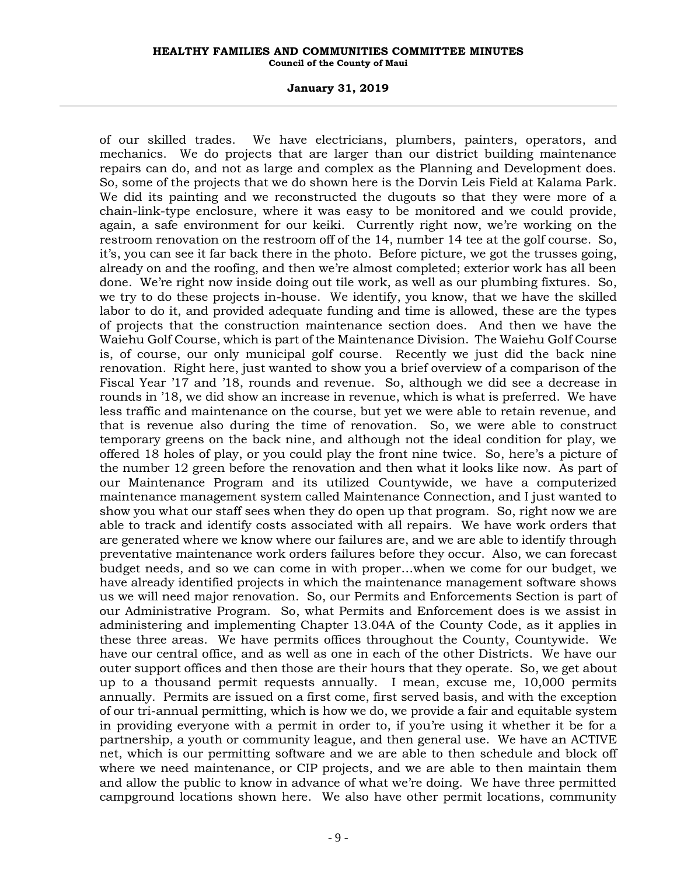### **January 31, 2019**

of our skilled trades. We have electricians, plumbers, painters, operators, and mechanics. We do projects that are larger than our district building maintenance repairs can do, and not as large and complex as the Planning and Development does. So, some of the projects that we do shown here is the Dorvin Leis Field at Kalama Park. We did its painting and we reconstructed the dugouts so that they were more of a chain-link-type enclosure, where it was easy to be monitored and we could provide, again, a safe environment for our keiki. Currently right now, we're working on the restroom renovation on the restroom off of the 14, number 14 tee at the golf course. So, it's, you can see it far back there in the photo. Before picture, we got the trusses going, already on and the roofing, and then we're almost completed; exterior work has all been done. We're right now inside doing out tile work, as well as our plumbing fixtures. So, we try to do these projects in-house. We identify, you know, that we have the skilled labor to do it, and provided adequate funding and time is allowed, these are the types of projects that the construction maintenance section does. And then we have the Waiehu Golf Course, which is part of the Maintenance Division. The Waiehu Golf Course is, of course, our only municipal golf course. Recently we just did the back nine renovation. Right here, just wanted to show you a brief overview of a comparison of the Fiscal Year '17 and '18, rounds and revenue. So, although we did see a decrease in rounds in '18, we did show an increase in revenue, which is what is preferred. We have less traffic and maintenance on the course, but yet we were able to retain revenue, and that is revenue also during the time of renovation. So, we were able to construct temporary greens on the back nine, and although not the ideal condition for play, we offered 18 holes of play, or you could play the front nine twice. So, here's a picture of the number 12 green before the renovation and then what it looks like now. As part of our Maintenance Program and its utilized Countywide, we have a computerized maintenance management system called Maintenance Connection, and I just wanted to show you what our staff sees when they do open up that program. So, right now we are able to track and identify costs associated with all repairs. We have work orders that are generated where we know where our failures are, and we are able to identify through preventative maintenance work orders failures before they occur. Also, we can forecast budget needs, and so we can come in with proper…when we come for our budget, we have already identified projects in which the maintenance management software shows us we will need major renovation. So, our Permits and Enforcements Section is part of our Administrative Program. So, what Permits and Enforcement does is we assist in administering and implementing Chapter 13.04A of the County Code, as it applies in these three areas. We have permits offices throughout the County, Countywide. We have our central office, and as well as one in each of the other Districts. We have our outer support offices and then those are their hours that they operate. So, we get about up to a thousand permit requests annually. I mean, excuse me, 10,000 permits annually. Permits are issued on a first come, first served basis, and with the exception of our tri-annual permitting, which is how we do, we provide a fair and equitable system in providing everyone with a permit in order to, if you're using it whether it be for a partnership, a youth or community league, and then general use. We have an ACTIVE net, which is our permitting software and we are able to then schedule and block off where we need maintenance, or CIP projects, and we are able to then maintain them and allow the public to know in advance of what we're doing. We have three permitted campground locations shown here. We also have other permit locations, community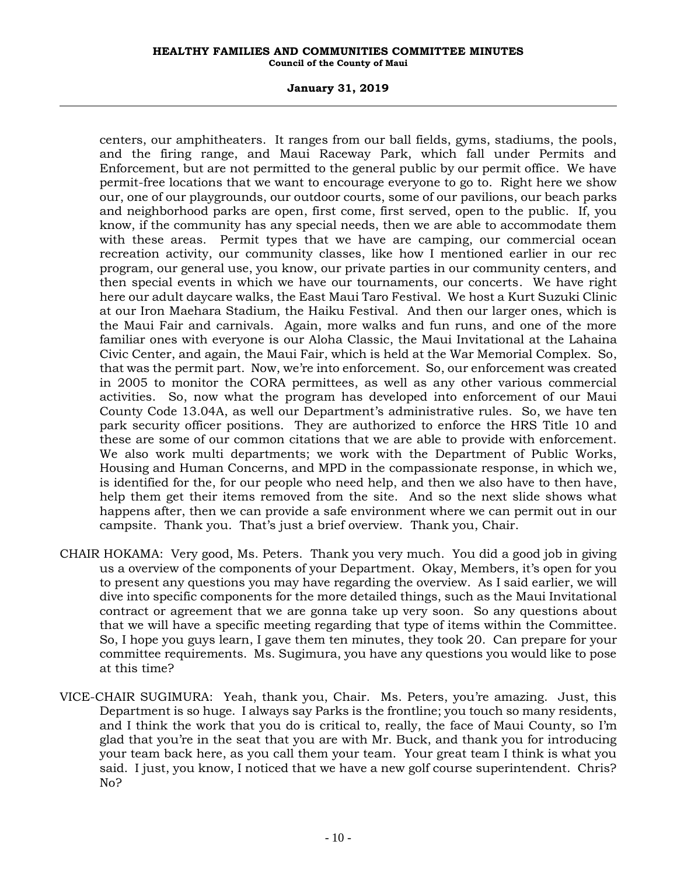# **January 31, 2019**

centers, our amphitheaters. It ranges from our ball fields, gyms, stadiums, the pools, and the firing range, and Maui Raceway Park, which fall under Permits and Enforcement, but are not permitted to the general public by our permit office. We have permit-free locations that we want to encourage everyone to go to. Right here we show our, one of our playgrounds, our outdoor courts, some of our pavilions, our beach parks and neighborhood parks are open, first come, first served, open to the public. If, you know, if the community has any special needs, then we are able to accommodate them with these areas. Permit types that we have are camping, our commercial ocean recreation activity, our community classes, like how I mentioned earlier in our rec program, our general use, you know, our private parties in our community centers, and then special events in which we have our tournaments, our concerts. We have right here our adult daycare walks, the East Maui Taro Festival. We host a Kurt Suzuki Clinic at our Iron Maehara Stadium, the Haiku Festival. And then our larger ones, which is the Maui Fair and carnivals. Again, more walks and fun runs, and one of the more familiar ones with everyone is our Aloha Classic, the Maui Invitational at the Lahaina Civic Center, and again, the Maui Fair, which is held at the War Memorial Complex. So, that was the permit part. Now, we're into enforcement. So, our enforcement was created in 2005 to monitor the CORA permittees, as well as any other various commercial activities. So, now what the program has developed into enforcement of our Maui County Code 13.04A, as well our Department's administrative rules. So, we have ten park security officer positions. They are authorized to enforce the HRS Title 10 and these are some of our common citations that we are able to provide with enforcement. We also work multi departments; we work with the Department of Public Works, Housing and Human Concerns, and MPD in the compassionate response, in which we, is identified for the, for our people who need help, and then we also have to then have, help them get their items removed from the site. And so the next slide shows what happens after, then we can provide a safe environment where we can permit out in our campsite. Thank you. That's just a brief overview. Thank you, Chair.

- CHAIR HOKAMA: Very good, Ms. Peters. Thank you very much. You did a good job in giving us a overview of the components of your Department. Okay, Members, it's open for you to present any questions you may have regarding the overview. As I said earlier, we will dive into specific components for the more detailed things, such as the Maui Invitational contract or agreement that we are gonna take up very soon. So any questions about that we will have a specific meeting regarding that type of items within the Committee. So, I hope you guys learn, I gave them ten minutes, they took 20. Can prepare for your committee requirements. Ms. Sugimura, you have any questions you would like to pose at this time?
- VICE-CHAIR SUGIMURA: Yeah, thank you, Chair. Ms. Peters, you're amazing. Just, this Department is so huge. I always say Parks is the frontline; you touch so many residents, and I think the work that you do is critical to, really, the face of Maui County, so I'm glad that you're in the seat that you are with Mr. Buck, and thank you for introducing your team back here, as you call them your team. Your great team I think is what you said. I just, you know, I noticed that we have a new golf course superintendent. Chris? No?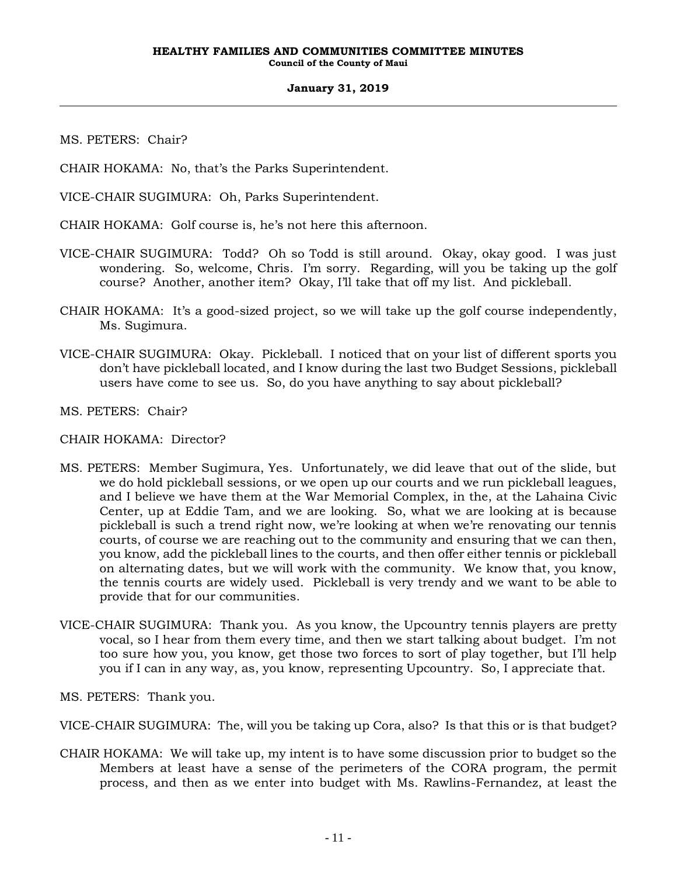MS. PETERS: Chair?

CHAIR HOKAMA: No, that's the Parks Superintendent.

VICE-CHAIR SUGIMURA: Oh, Parks Superintendent.

CHAIR HOKAMA: Golf course is, he's not here this afternoon.

- VICE-CHAIR SUGIMURA: Todd? Oh so Todd is still around. Okay, okay good. I was just wondering. So, welcome, Chris. I'm sorry. Regarding, will you be taking up the golf course? Another, another item? Okay, I'll take that off my list. And pickleball.
- CHAIR HOKAMA: It's a good-sized project, so we will take up the golf course independently, Ms. Sugimura.
- VICE-CHAIR SUGIMURA: Okay. Pickleball. I noticed that on your list of different sports you don't have pickleball located, and I know during the last two Budget Sessions, pickleball users have come to see us. So, do you have anything to say about pickleball?

MS. PETERS: Chair?

CHAIR HOKAMA: Director?

- MS. PETERS: Member Sugimura, Yes. Unfortunately, we did leave that out of the slide, but we do hold pickleball sessions, or we open up our courts and we run pickleball leagues, and I believe we have them at the War Memorial Complex, in the, at the Lahaina Civic Center, up at Eddie Tam, and we are looking. So, what we are looking at is because pickleball is such a trend right now, we're looking at when we're renovating our tennis courts, of course we are reaching out to the community and ensuring that we can then, you know, add the pickleball lines to the courts, and then offer either tennis or pickleball on alternating dates, but we will work with the community. We know that, you know, the tennis courts are widely used. Pickleball is very trendy and we want to be able to provide that for our communities.
- VICE-CHAIR SUGIMURA: Thank you. As you know, the Upcountry tennis players are pretty vocal, so I hear from them every time, and then we start talking about budget. I'm not too sure how you, you know, get those two forces to sort of play together, but I'll help you if I can in any way, as, you know, representing Upcountry. So, I appreciate that.

MS. PETERS: Thank you.

VICE-CHAIR SUGIMURA: The, will you be taking up Cora, also? Is that this or is that budget?

CHAIR HOKAMA: We will take up, my intent is to have some discussion prior to budget so the Members at least have a sense of the perimeters of the CORA program, the permit process, and then as we enter into budget with Ms. Rawlins-Fernandez, at least the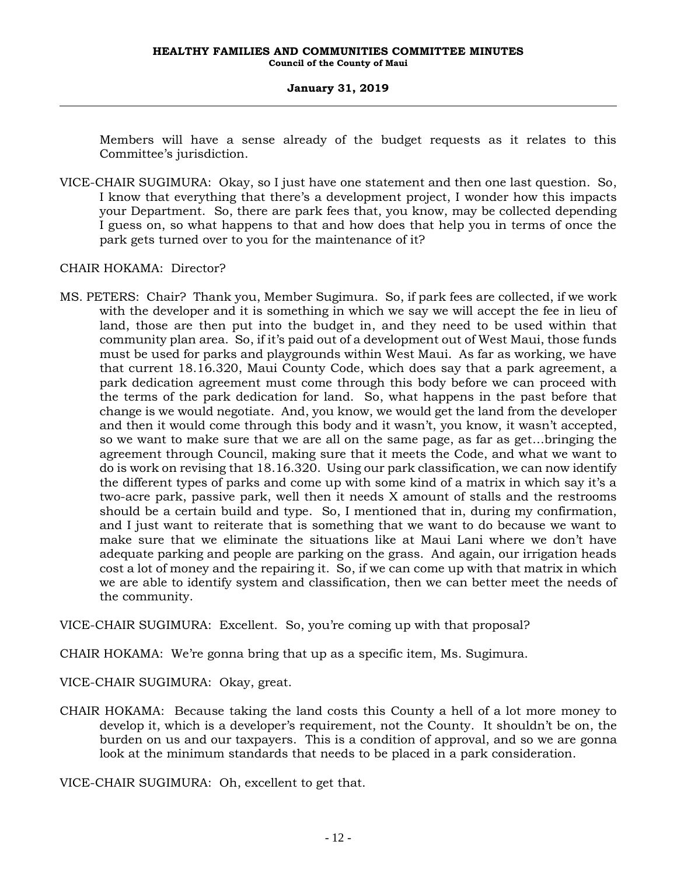Members will have a sense already of the budget requests as it relates to this Committee's jurisdiction.

VICE-CHAIR SUGIMURA: Okay, so I just have one statement and then one last question. So, I know that everything that there's a development project, I wonder how this impacts your Department. So, there are park fees that, you know, may be collected depending I guess on, so what happens to that and how does that help you in terms of once the park gets turned over to you for the maintenance of it?

CHAIR HOKAMA: Director?

MS. PETERS: Chair? Thank you, Member Sugimura. So, if park fees are collected, if we work with the developer and it is something in which we say we will accept the fee in lieu of land, those are then put into the budget in, and they need to be used within that community plan area. So, if it's paid out of a development out of West Maui, those funds must be used for parks and playgrounds within West Maui. As far as working, we have that current 18.16.320, Maui County Code, which does say that a park agreement, a park dedication agreement must come through this body before we can proceed with the terms of the park dedication for land. So, what happens in the past before that change is we would negotiate. And, you know, we would get the land from the developer and then it would come through this body and it wasn't, you know, it wasn't accepted, so we want to make sure that we are all on the same page, as far as get…bringing the agreement through Council, making sure that it meets the Code, and what we want to do is work on revising that 18.16.320. Using our park classification, we can now identify the different types of parks and come up with some kind of a matrix in which say it's a two-acre park, passive park, well then it needs X amount of stalls and the restrooms should be a certain build and type. So, I mentioned that in, during my confirmation, and I just want to reiterate that is something that we want to do because we want to make sure that we eliminate the situations like at Maui Lani where we don't have adequate parking and people are parking on the grass. And again, our irrigation heads cost a lot of money and the repairing it. So, if we can come up with that matrix in which we are able to identify system and classification, then we can better meet the needs of the community.

VICE-CHAIR SUGIMURA: Excellent. So, you're coming up with that proposal?

CHAIR HOKAMA: We're gonna bring that up as a specific item, Ms. Sugimura.

VICE-CHAIR SUGIMURA: Okay, great.

CHAIR HOKAMA: Because taking the land costs this County a hell of a lot more money to develop it, which is a developer's requirement, not the County. It shouldn't be on, the burden on us and our taxpayers. This is a condition of approval, and so we are gonna look at the minimum standards that needs to be placed in a park consideration.

VICE-CHAIR SUGIMURA: Oh, excellent to get that.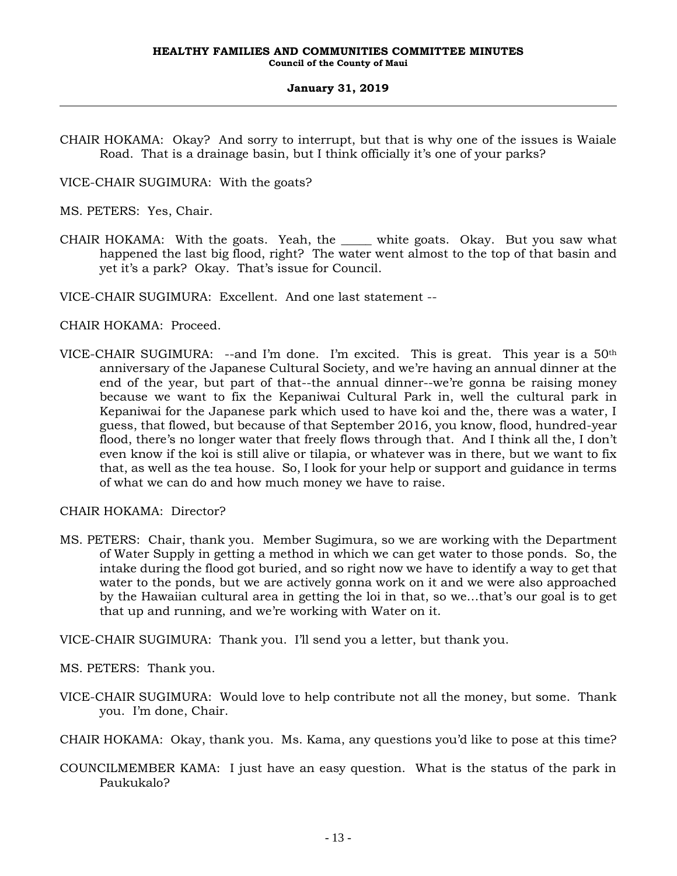- CHAIR HOKAMA: Okay? And sorry to interrupt, but that is why one of the issues is Waiale Road. That is a drainage basin, but I think officially it's one of your parks?
- VICE-CHAIR SUGIMURA: With the goats?

MS. PETERS: Yes, Chair.

CHAIR HOKAMA: With the goats. Yeah, the \_\_\_\_\_ white goats. Okay. But you saw what happened the last big flood, right? The water went almost to the top of that basin and yet it's a park? Okay. That's issue for Council.

VICE-CHAIR SUGIMURA: Excellent. And one last statement --

# CHAIR HOKAMA: Proceed.

VICE-CHAIR SUGIMURA: --and I'm done. I'm excited. This is great. This year is a  $50<sup>th</sup>$ anniversary of the Japanese Cultural Society, and we're having an annual dinner at the end of the year, but part of that--the annual dinner--we're gonna be raising money because we want to fix the Kepaniwai Cultural Park in, well the cultural park in Kepaniwai for the Japanese park which used to have koi and the, there was a water, I guess, that flowed, but because of that September 2016, you know, flood, hundred-year flood, there's no longer water that freely flows through that. And I think all the, I don't even know if the koi is still alive or tilapia, or whatever was in there, but we want to fix that, as well as the tea house. So, I look for your help or support and guidance in terms of what we can do and how much money we have to raise.

CHAIR HOKAMA: Director?

MS. PETERS: Chair, thank you. Member Sugimura, so we are working with the Department of Water Supply in getting a method in which we can get water to those ponds. So, the intake during the flood got buried, and so right now we have to identify a way to get that water to the ponds, but we are actively gonna work on it and we were also approached by the Hawaiian cultural area in getting the loi in that, so we…that's our goal is to get that up and running, and we're working with Water on it.

VICE-CHAIR SUGIMURA: Thank you. I'll send you a letter, but thank you.

MS. PETERS: Thank you.

VICE-CHAIR SUGIMURA: Would love to help contribute not all the money, but some. Thank you. I'm done, Chair.

CHAIR HOKAMA: Okay, thank you. Ms. Kama, any questions you'd like to pose at this time?

COUNCILMEMBER KAMA: I just have an easy question. What is the status of the park in Paukukalo?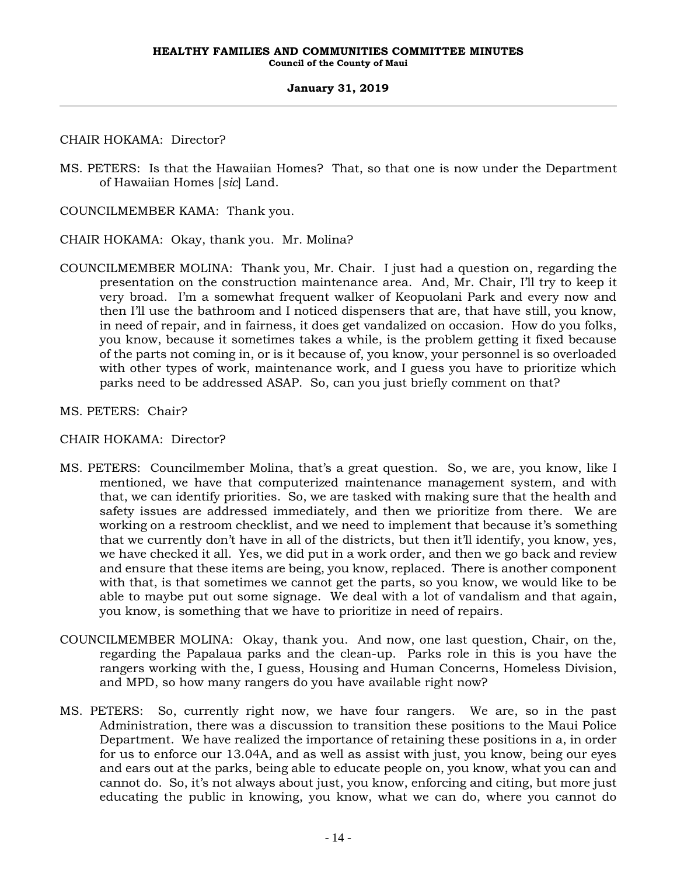CHAIR HOKAMA: Director?

MS. PETERS: Is that the Hawaiian Homes? That, so that one is now under the Department of Hawaiian Homes [*sic*] Land.

COUNCILMEMBER KAMA: Thank you.

CHAIR HOKAMA: Okay, thank you. Mr. Molina?

- COUNCILMEMBER MOLINA: Thank you, Mr. Chair. I just had a question on, regarding the presentation on the construction maintenance area. And, Mr. Chair, I'll try to keep it very broad. I'm a somewhat frequent walker of Keopuolani Park and every now and then I'll use the bathroom and I noticed dispensers that are, that have still, you know, in need of repair, and in fairness, it does get vandalized on occasion. How do you folks, you know, because it sometimes takes a while, is the problem getting it fixed because of the parts not coming in, or is it because of, you know, your personnel is so overloaded with other types of work, maintenance work, and I guess you have to prioritize which parks need to be addressed ASAP. So, can you just briefly comment on that?
- MS. PETERS: Chair?

CHAIR HOKAMA: Director?

- MS. PETERS: Councilmember Molina, that's a great question. So, we are, you know, like I mentioned, we have that computerized maintenance management system, and with that, we can identify priorities. So, we are tasked with making sure that the health and safety issues are addressed immediately, and then we prioritize from there. We are working on a restroom checklist, and we need to implement that because it's something that we currently don't have in all of the districts, but then it'll identify, you know, yes, we have checked it all. Yes, we did put in a work order, and then we go back and review and ensure that these items are being, you know, replaced. There is another component with that, is that sometimes we cannot get the parts, so you know, we would like to be able to maybe put out some signage. We deal with a lot of vandalism and that again, you know, is something that we have to prioritize in need of repairs.
- COUNCILMEMBER MOLINA: Okay, thank you. And now, one last question, Chair, on the, regarding the Papalaua parks and the clean-up. Parks role in this is you have the rangers working with the, I guess, Housing and Human Concerns, Homeless Division, and MPD, so how many rangers do you have available right now?
- MS. PETERS: So, currently right now, we have four rangers. We are, so in the past Administration, there was a discussion to transition these positions to the Maui Police Department. We have realized the importance of retaining these positions in a, in order for us to enforce our 13.04A, and as well as assist with just, you know, being our eyes and ears out at the parks, being able to educate people on, you know, what you can and cannot do. So, it's not always about just, you know, enforcing and citing, but more just educating the public in knowing, you know, what we can do, where you cannot do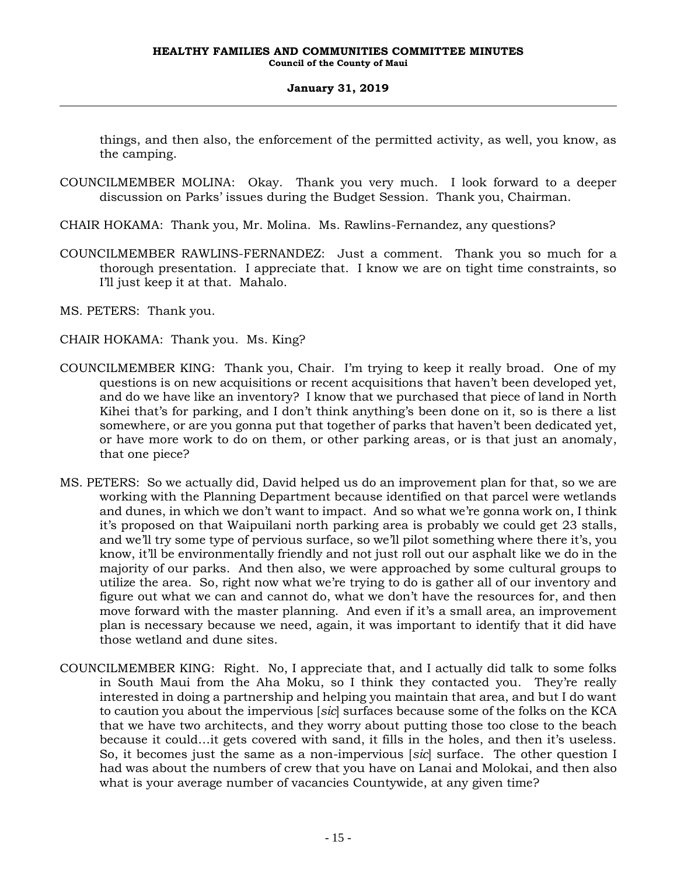things, and then also, the enforcement of the permitted activity, as well, you know, as the camping.

- COUNCILMEMBER MOLINA: Okay. Thank you very much. I look forward to a deeper discussion on Parks' issues during the Budget Session. Thank you, Chairman.
- CHAIR HOKAMA: Thank you, Mr. Molina. Ms. Rawlins-Fernandez, any questions?
- COUNCILMEMBER RAWLINS-FERNANDEZ: Just a comment. Thank you so much for a thorough presentation. I appreciate that. I know we are on tight time constraints, so I'll just keep it at that. Mahalo.
- MS. PETERS: Thank you.
- CHAIR HOKAMA: Thank you. Ms. King?
- COUNCILMEMBER KING: Thank you, Chair. I'm trying to keep it really broad. One of my questions is on new acquisitions or recent acquisitions that haven't been developed yet, and do we have like an inventory? I know that we purchased that piece of land in North Kihei that's for parking, and I don't think anything's been done on it, so is there a list somewhere, or are you gonna put that together of parks that haven't been dedicated yet, or have more work to do on them, or other parking areas, or is that just an anomaly, that one piece?
- MS. PETERS: So we actually did, David helped us do an improvement plan for that, so we are working with the Planning Department because identified on that parcel were wetlands and dunes, in which we don't want to impact. And so what we're gonna work on, I think it's proposed on that Waipuilani north parking area is probably we could get 23 stalls, and we'll try some type of pervious surface, so we'll pilot something where there it's, you know, it'll be environmentally friendly and not just roll out our asphalt like we do in the majority of our parks. And then also, we were approached by some cultural groups to utilize the area. So, right now what we're trying to do is gather all of our inventory and figure out what we can and cannot do, what we don't have the resources for, and then move forward with the master planning. And even if it's a small area, an improvement plan is necessary because we need, again, it was important to identify that it did have those wetland and dune sites.
- COUNCILMEMBER KING: Right. No, I appreciate that, and I actually did talk to some folks in South Maui from the Aha Moku, so I think they contacted you. They're really interested in doing a partnership and helping you maintain that area, and but I do want to caution you about the impervious [*sic*] surfaces because some of the folks on the KCA that we have two architects, and they worry about putting those too close to the beach because it could…it gets covered with sand, it fills in the holes, and then it's useless. So, it becomes just the same as a non-impervious [*sic*] surface. The other question I had was about the numbers of crew that you have on Lanai and Molokai, and then also what is your average number of vacancies Countywide, at any given time?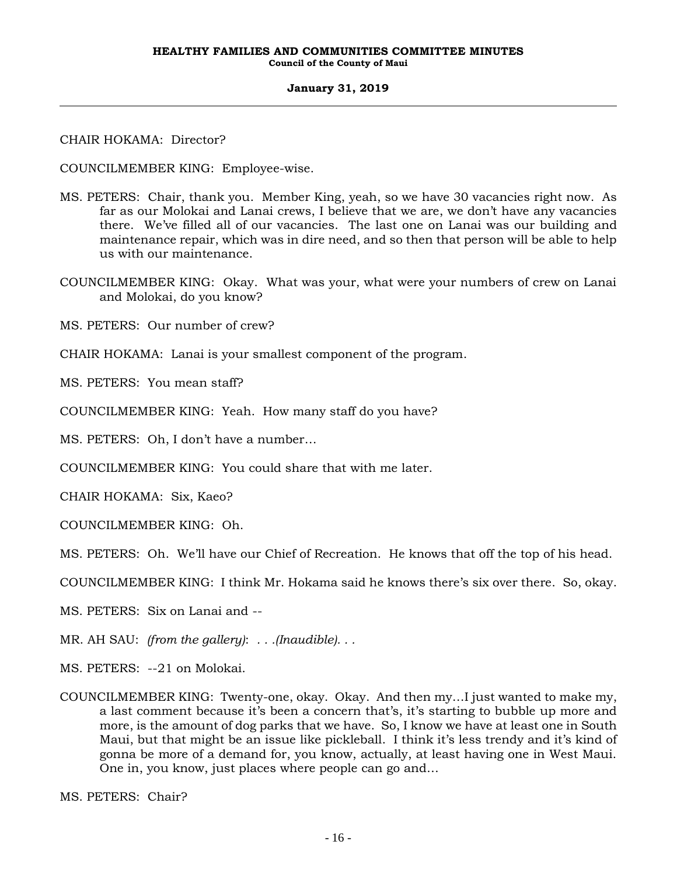CHAIR HOKAMA: Director?

COUNCILMEMBER KING: Employee-wise.

- MS. PETERS: Chair, thank you. Member King, yeah, so we have 30 vacancies right now. As far as our Molokai and Lanai crews, I believe that we are, we don't have any vacancies there. We've filled all of our vacancies. The last one on Lanai was our building and maintenance repair, which was in dire need, and so then that person will be able to help us with our maintenance.
- COUNCILMEMBER KING: Okay. What was your, what were your numbers of crew on Lanai and Molokai, do you know?

MS. PETERS: Our number of crew?

CHAIR HOKAMA: Lanai is your smallest component of the program.

MS. PETERS: You mean staff?

COUNCILMEMBER KING: Yeah. How many staff do you have?

MS. PETERS: Oh, I don't have a number…

COUNCILMEMBER KING: You could share that with me later.

CHAIR HOKAMA: Six, Kaeo?

COUNCILMEMBER KING: Oh.

MS. PETERS: Oh. We'll have our Chief of Recreation. He knows that off the top of his head.

COUNCILMEMBER KING: I think Mr. Hokama said he knows there's six over there. So, okay.

MS. PETERS: Six on Lanai and --

MR. AH SAU: *(from the gallery)*: *. . .(Inaudible). . .*

MS. PETERS: --21 on Molokai.

COUNCILMEMBER KING: Twenty-one, okay. Okay. And then my…I just wanted to make my, a last comment because it's been a concern that's, it's starting to bubble up more and more, is the amount of dog parks that we have. So, I know we have at least one in South Maui, but that might be an issue like pickleball. I think it's less trendy and it's kind of gonna be more of a demand for, you know, actually, at least having one in West Maui. One in, you know, just places where people can go and…

MS. PETERS: Chair?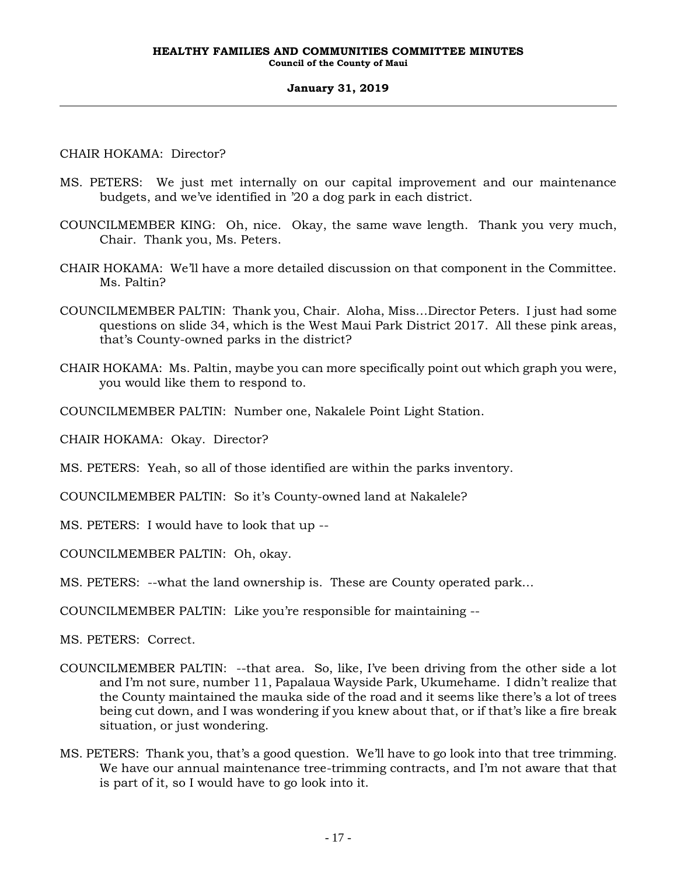# CHAIR HOKAMA: Director?

- MS. PETERS: We just met internally on our capital improvement and our maintenance budgets, and we've identified in '20 a dog park in each district.
- COUNCILMEMBER KING: Oh, nice. Okay, the same wave length. Thank you very much, Chair. Thank you, Ms. Peters.
- CHAIR HOKAMA: We'll have a more detailed discussion on that component in the Committee. Ms. Paltin?
- COUNCILMEMBER PALTIN: Thank you, Chair. Aloha, Miss…Director Peters. I just had some questions on slide 34, which is the West Maui Park District 2017. All these pink areas, that's County-owned parks in the district?
- CHAIR HOKAMA: Ms. Paltin, maybe you can more specifically point out which graph you were, you would like them to respond to.
- COUNCILMEMBER PALTIN: Number one, Nakalele Point Light Station.

CHAIR HOKAMA: Okay. Director?

- MS. PETERS: Yeah, so all of those identified are within the parks inventory.
- COUNCILMEMBER PALTIN: So it's County-owned land at Nakalele?
- MS. PETERS: I would have to look that up --
- COUNCILMEMBER PALTIN: Oh, okay.
- MS. PETERS: --what the land ownership is. These are County operated park…

COUNCILMEMBER PALTIN: Like you're responsible for maintaining --

MS. PETERS: Correct.

- COUNCILMEMBER PALTIN: --that area. So, like, I've been driving from the other side a lot and I'm not sure, number 11, Papalaua Wayside Park, Ukumehame. I didn't realize that the County maintained the mauka side of the road and it seems like there's a lot of trees being cut down, and I was wondering if you knew about that, or if that's like a fire break situation, or just wondering.
- MS. PETERS: Thank you, that's a good question. We'll have to go look into that tree trimming. We have our annual maintenance tree-trimming contracts, and I'm not aware that that is part of it, so I would have to go look into it.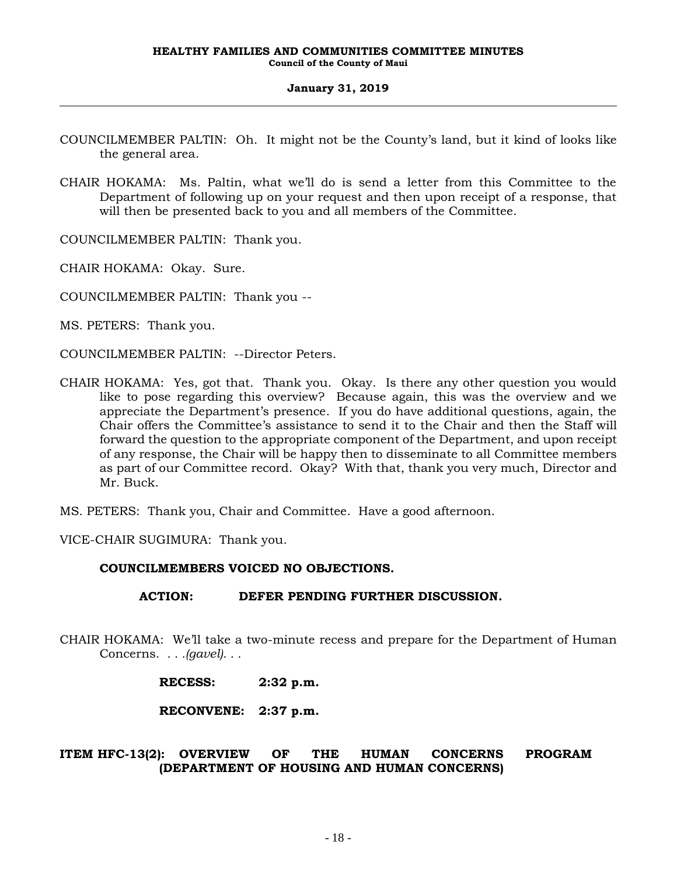- COUNCILMEMBER PALTIN: Oh. It might not be the County's land, but it kind of looks like the general area.
- CHAIR HOKAMA: Ms. Paltin, what we'll do is send a letter from this Committee to the Department of following up on your request and then upon receipt of a response, that will then be presented back to you and all members of the Committee.

COUNCILMEMBER PALTIN: Thank you.

CHAIR HOKAMA: Okay. Sure.

COUNCILMEMBER PALTIN: Thank you --

MS. PETERS: Thank you.

COUNCILMEMBER PALTIN: --Director Peters.

CHAIR HOKAMA: Yes, got that. Thank you. Okay. Is there any other question you would like to pose regarding this overview? Because again, this was the overview and we appreciate the Department's presence. If you do have additional questions, again, the Chair offers the Committee's assistance to send it to the Chair and then the Staff will forward the question to the appropriate component of the Department, and upon receipt of any response, the Chair will be happy then to disseminate to all Committee members as part of our Committee record. Okay? With that, thank you very much, Director and Mr. Buck.

MS. PETERS: Thank you, Chair and Committee. Have a good afternoon.

VICE-CHAIR SUGIMURA: Thank you.

# **COUNCILMEMBERS VOICED NO OBJECTIONS.**

# **ACTION: DEFER PENDING FURTHER DISCUSSION.**

CHAIR HOKAMA: We'll take a two-minute recess and prepare for the Department of Human Concerns. *. . .(gavel). . .*

| <b>RECESS:</b> | $2:32$ p.m. |
|----------------|-------------|
|----------------|-------------|

**RECONVENE: 2:37 p.m.**

# **ITEM HFC-13(2): OVERVIEW OF THE HUMAN CONCERNS PROGRAM (DEPARTMENT OF HOUSING AND HUMAN CONCERNS)**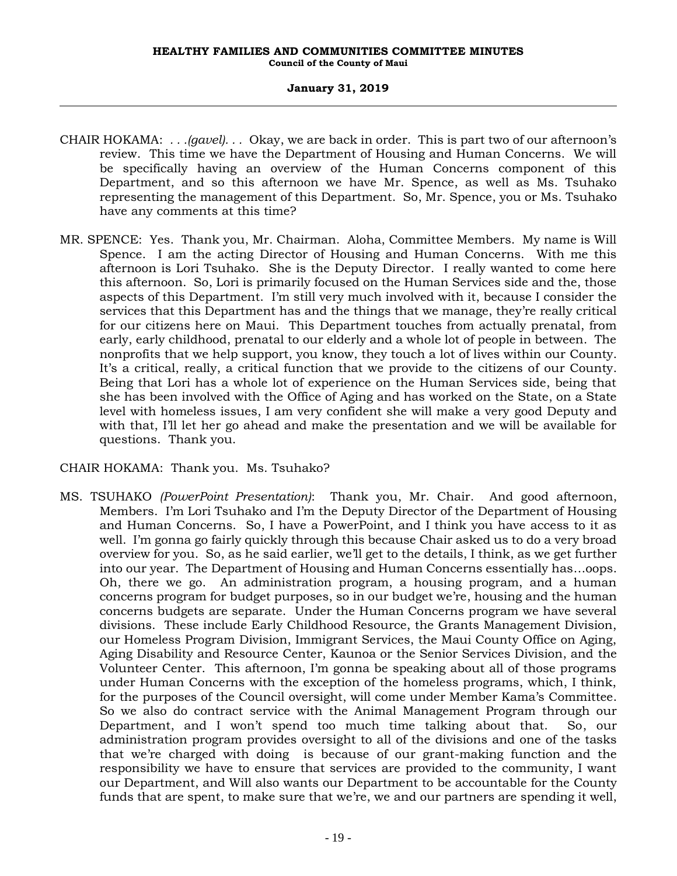- CHAIR HOKAMA: *. . .(gavel). . .* Okay, we are back in order. This is part two of our afternoon's review. This time we have the Department of Housing and Human Concerns. We will be specifically having an overview of the Human Concerns component of this Department, and so this afternoon we have Mr. Spence, as well as Ms. Tsuhako representing the management of this Department. So, Mr. Spence, you or Ms. Tsuhako have any comments at this time?
- MR. SPENCE: Yes. Thank you, Mr. Chairman. Aloha, Committee Members. My name is Will Spence. I am the acting Director of Housing and Human Concerns. With me this afternoon is Lori Tsuhako. She is the Deputy Director. I really wanted to come here this afternoon. So, Lori is primarily focused on the Human Services side and the, those aspects of this Department. I'm still very much involved with it, because I consider the services that this Department has and the things that we manage, they're really critical for our citizens here on Maui. This Department touches from actually prenatal, from early, early childhood, prenatal to our elderly and a whole lot of people in between. The nonprofits that we help support, you know, they touch a lot of lives within our County. It's a critical, really, a critical function that we provide to the citizens of our County. Being that Lori has a whole lot of experience on the Human Services side, being that she has been involved with the Office of Aging and has worked on the State, on a State level with homeless issues, I am very confident she will make a very good Deputy and with that, I'll let her go ahead and make the presentation and we will be available for questions. Thank you.

# CHAIR HOKAMA: Thank you. Ms. Tsuhako?

MS. TSUHAKO *(PowerPoint Presentation)*: Thank you, Mr. Chair. And good afternoon, Members. I'm Lori Tsuhako and I'm the Deputy Director of the Department of Housing and Human Concerns. So, I have a PowerPoint, and I think you have access to it as well. I'm gonna go fairly quickly through this because Chair asked us to do a very broad overview for you. So, as he said earlier, we'll get to the details, I think, as we get further into our year. The Department of Housing and Human Concerns essentially has…oops. Oh, there we go. An administration program, a housing program, and a human concerns program for budget purposes, so in our budget we're, housing and the human concerns budgets are separate. Under the Human Concerns program we have several divisions. These include Early Childhood Resource, the Grants Management Division, our Homeless Program Division, Immigrant Services, the Maui County Office on Aging, Aging Disability and Resource Center, Kaunoa or the Senior Services Division, and the Volunteer Center. This afternoon, I'm gonna be speaking about all of those programs under Human Concerns with the exception of the homeless programs, which, I think, for the purposes of the Council oversight, will come under Member Kama's Committee. So we also do contract service with the Animal Management Program through our Department, and I won't spend too much time talking about that. So, our administration program provides oversight to all of the divisions and one of the tasks that we're charged with doing is because of our grant-making function and the responsibility we have to ensure that services are provided to the community, I want our Department, and Will also wants our Department to be accountable for the County funds that are spent, to make sure that we're, we and our partners are spending it well,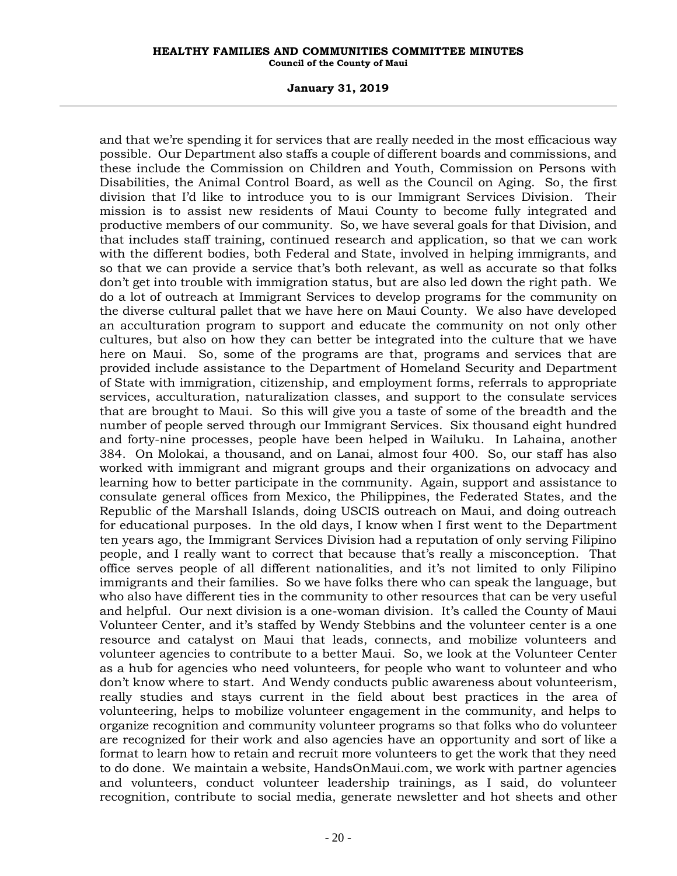### **January 31, 2019**

and that we're spending it for services that are really needed in the most efficacious way possible. Our Department also staffs a couple of different boards and commissions, and these include the Commission on Children and Youth, Commission on Persons with Disabilities, the Animal Control Board, as well as the Council on Aging. So, the first division that I'd like to introduce you to is our Immigrant Services Division. Their mission is to assist new residents of Maui County to become fully integrated and productive members of our community. So, we have several goals for that Division, and that includes staff training, continued research and application, so that we can work with the different bodies, both Federal and State, involved in helping immigrants, and so that we can provide a service that's both relevant, as well as accurate so that folks don't get into trouble with immigration status, but are also led down the right path. We do a lot of outreach at Immigrant Services to develop programs for the community on the diverse cultural pallet that we have here on Maui County. We also have developed an acculturation program to support and educate the community on not only other cultures, but also on how they can better be integrated into the culture that we have here on Maui. So, some of the programs are that, programs and services that are provided include assistance to the Department of Homeland Security and Department of State with immigration, citizenship, and employment forms, referrals to appropriate services, acculturation, naturalization classes, and support to the consulate services that are brought to Maui. So this will give you a taste of some of the breadth and the number of people served through our Immigrant Services. Six thousand eight hundred and forty-nine processes, people have been helped in Wailuku. In Lahaina, another 384. On Molokai, a thousand, and on Lanai, almost four 400. So, our staff has also worked with immigrant and migrant groups and their organizations on advocacy and learning how to better participate in the community. Again, support and assistance to consulate general offices from Mexico, the Philippines, the Federated States, and the Republic of the Marshall Islands, doing USCIS outreach on Maui, and doing outreach for educational purposes. In the old days, I know when I first went to the Department ten years ago, the Immigrant Services Division had a reputation of only serving Filipino people, and I really want to correct that because that's really a misconception. That office serves people of all different nationalities, and it's not limited to only Filipino immigrants and their families. So we have folks there who can speak the language, but who also have different ties in the community to other resources that can be very useful and helpful. Our next division is a one-woman division. It's called the County of Maui Volunteer Center, and it's staffed by Wendy Stebbins and the volunteer center is a one resource and catalyst on Maui that leads, connects, and mobilize volunteers and volunteer agencies to contribute to a better Maui. So, we look at the Volunteer Center as a hub for agencies who need volunteers, for people who want to volunteer and who don't know where to start. And Wendy conducts public awareness about volunteerism, really studies and stays current in the field about best practices in the area of volunteering, helps to mobilize volunteer engagement in the community, and helps to organize recognition and community volunteer programs so that folks who do volunteer are recognized for their work and also agencies have an opportunity and sort of like a format to learn how to retain and recruit more volunteers to get the work that they need to do done. We maintain a website, HandsOnMaui.com, we work with partner agencies and volunteers, conduct volunteer leadership trainings, as I said, do volunteer recognition, contribute to social media, generate newsletter and hot sheets and other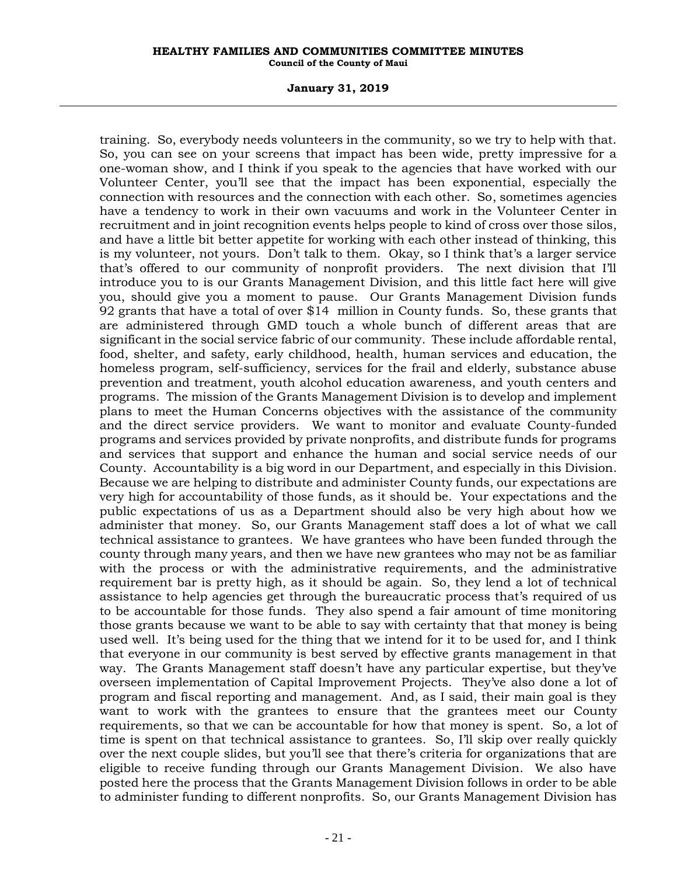### **January 31, 2019**

training. So, everybody needs volunteers in the community, so we try to help with that. So, you can see on your screens that impact has been wide, pretty impressive for a one-woman show, and I think if you speak to the agencies that have worked with our Volunteer Center, you'll see that the impact has been exponential, especially the connection with resources and the connection with each other. So, sometimes agencies have a tendency to work in their own vacuums and work in the Volunteer Center in recruitment and in joint recognition events helps people to kind of cross over those silos, and have a little bit better appetite for working with each other instead of thinking, this is my volunteer, not yours. Don't talk to them. Okay, so I think that's a larger service that's offered to our community of nonprofit providers. The next division that I'll introduce you to is our Grants Management Division, and this little fact here will give you, should give you a moment to pause. Our Grants Management Division funds 92 grants that have a total of over \$14 million in County funds. So, these grants that are administered through GMD touch a whole bunch of different areas that are significant in the social service fabric of our community. These include affordable rental, food, shelter, and safety, early childhood, health, human services and education, the homeless program, self-sufficiency, services for the frail and elderly, substance abuse prevention and treatment, youth alcohol education awareness, and youth centers and programs. The mission of the Grants Management Division is to develop and implement plans to meet the Human Concerns objectives with the assistance of the community and the direct service providers. We want to monitor and evaluate County-funded programs and services provided by private nonprofits, and distribute funds for programs and services that support and enhance the human and social service needs of our County. Accountability is a big word in our Department, and especially in this Division. Because we are helping to distribute and administer County funds, our expectations are very high for accountability of those funds, as it should be. Your expectations and the public expectations of us as a Department should also be very high about how we administer that money. So, our Grants Management staff does a lot of what we call technical assistance to grantees. We have grantees who have been funded through the county through many years, and then we have new grantees who may not be as familiar with the process or with the administrative requirements, and the administrative requirement bar is pretty high, as it should be again. So, they lend a lot of technical assistance to help agencies get through the bureaucratic process that's required of us to be accountable for those funds. They also spend a fair amount of time monitoring those grants because we want to be able to say with certainty that that money is being used well. It's being used for the thing that we intend for it to be used for, and I think that everyone in our community is best served by effective grants management in that way. The Grants Management staff doesn't have any particular expertise, but they've overseen implementation of Capital Improvement Projects. They've also done a lot of program and fiscal reporting and management. And, as I said, their main goal is they want to work with the grantees to ensure that the grantees meet our County requirements, so that we can be accountable for how that money is spent. So, a lot of time is spent on that technical assistance to grantees. So, I'll skip over really quickly over the next couple slides, but you'll see that there's criteria for organizations that are eligible to receive funding through our Grants Management Division. We also have posted here the process that the Grants Management Division follows in order to be able to administer funding to different nonprofits. So, our Grants Management Division has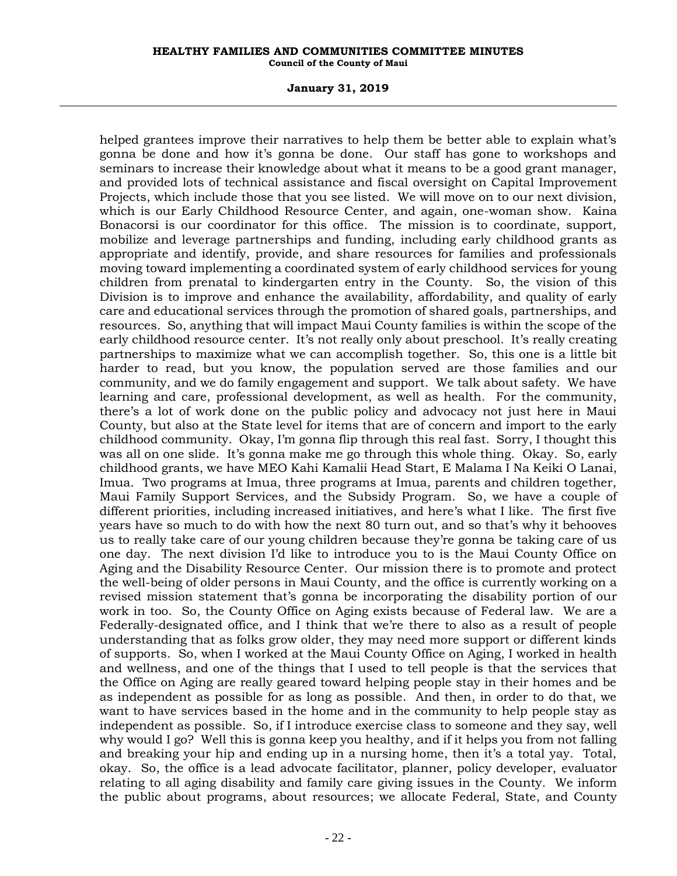### **January 31, 2019**

helped grantees improve their narratives to help them be better able to explain what's gonna be done and how it's gonna be done. Our staff has gone to workshops and seminars to increase their knowledge about what it means to be a good grant manager, and provided lots of technical assistance and fiscal oversight on Capital Improvement Projects, which include those that you see listed. We will move on to our next division, which is our Early Childhood Resource Center, and again, one-woman show. Kaina Bonacorsi is our coordinator for this office. The mission is to coordinate, support, mobilize and leverage partnerships and funding, including early childhood grants as appropriate and identify, provide, and share resources for families and professionals moving toward implementing a coordinated system of early childhood services for young children from prenatal to kindergarten entry in the County. So, the vision of this Division is to improve and enhance the availability, affordability, and quality of early care and educational services through the promotion of shared goals, partnerships, and resources. So, anything that will impact Maui County families is within the scope of the early childhood resource center. It's not really only about preschool. It's really creating partnerships to maximize what we can accomplish together. So, this one is a little bit harder to read, but you know, the population served are those families and our community, and we do family engagement and support. We talk about safety. We have learning and care, professional development, as well as health. For the community, there's a lot of work done on the public policy and advocacy not just here in Maui County, but also at the State level for items that are of concern and import to the early childhood community. Okay, I'm gonna flip through this real fast. Sorry, I thought this was all on one slide. It's gonna make me go through this whole thing. Okay. So, early childhood grants, we have MEO Kahi Kamalii Head Start, E Malama I Na Keiki O Lanai, Imua. Two programs at Imua, three programs at Imua, parents and children together, Maui Family Support Services, and the Subsidy Program. So, we have a couple of different priorities, including increased initiatives, and here's what I like. The first five years have so much to do with how the next 80 turn out, and so that's why it behooves us to really take care of our young children because they're gonna be taking care of us one day. The next division I'd like to introduce you to is the Maui County Office on Aging and the Disability Resource Center. Our mission there is to promote and protect the well-being of older persons in Maui County, and the office is currently working on a revised mission statement that's gonna be incorporating the disability portion of our work in too. So, the County Office on Aging exists because of Federal law. We are a Federally-designated office, and I think that we're there to also as a result of people understanding that as folks grow older, they may need more support or different kinds of supports. So, when I worked at the Maui County Office on Aging, I worked in health and wellness, and one of the things that I used to tell people is that the services that the Office on Aging are really geared toward helping people stay in their homes and be as independent as possible for as long as possible. And then, in order to do that, we want to have services based in the home and in the community to help people stay as independent as possible. So, if I introduce exercise class to someone and they say, well why would I go? Well this is gonna keep you healthy, and if it helps you from not falling and breaking your hip and ending up in a nursing home, then it's a total yay. Total, okay. So, the office is a lead advocate facilitator, planner, policy developer, evaluator relating to all aging disability and family care giving issues in the County. We inform the public about programs, about resources; we allocate Federal, State, and County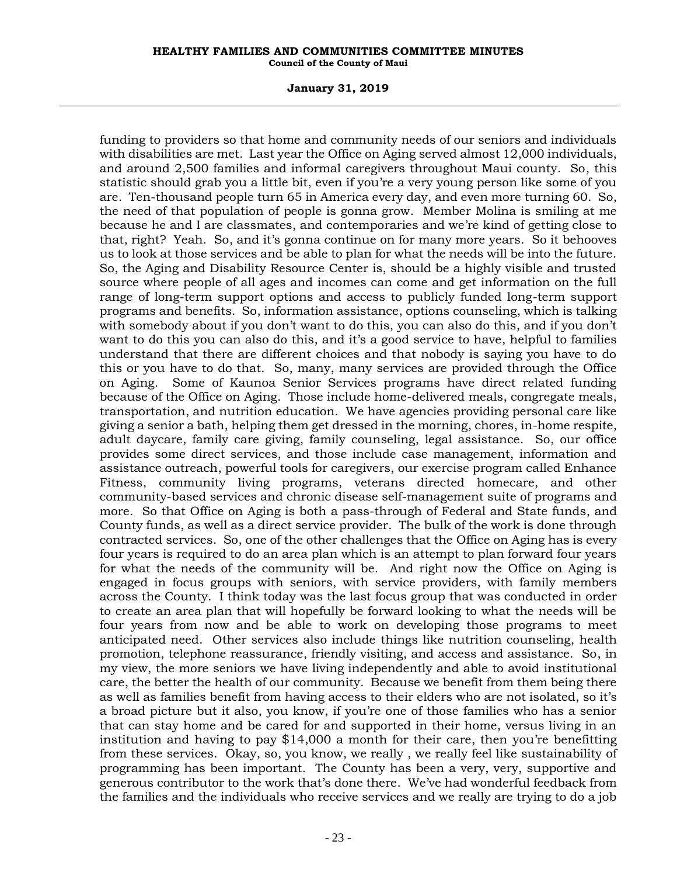### **January 31, 2019**

funding to providers so that home and community needs of our seniors and individuals with disabilities are met. Last year the Office on Aging served almost 12,000 individuals, and around 2,500 families and informal caregivers throughout Maui county. So, this statistic should grab you a little bit, even if you're a very young person like some of you are. Ten-thousand people turn 65 in America every day, and even more turning 60. So, the need of that population of people is gonna grow. Member Molina is smiling at me because he and I are classmates, and contemporaries and we're kind of getting close to that, right? Yeah. So, and it's gonna continue on for many more years. So it behooves us to look at those services and be able to plan for what the needs will be into the future. So, the Aging and Disability Resource Center is, should be a highly visible and trusted source where people of all ages and incomes can come and get information on the full range of long-term support options and access to publicly funded long-term support programs and benefits. So, information assistance, options counseling, which is talking with somebody about if you don't want to do this, you can also do this, and if you don't want to do this you can also do this, and it's a good service to have, helpful to families understand that there are different choices and that nobody is saying you have to do this or you have to do that. So, many, many services are provided through the Office on Aging. Some of Kaunoa Senior Services programs have direct related funding because of the Office on Aging. Those include home-delivered meals, congregate meals, transportation, and nutrition education. We have agencies providing personal care like giving a senior a bath, helping them get dressed in the morning, chores, in-home respite, adult daycare, family care giving, family counseling, legal assistance. So, our office provides some direct services, and those include case management, information and assistance outreach, powerful tools for caregivers, our exercise program called Enhance Fitness, community living programs, veterans directed homecare, and other community-based services and chronic disease self-management suite of programs and more. So that Office on Aging is both a pass-through of Federal and State funds, and County funds, as well as a direct service provider. The bulk of the work is done through contracted services. So, one of the other challenges that the Office on Aging has is every four years is required to do an area plan which is an attempt to plan forward four years for what the needs of the community will be. And right now the Office on Aging is engaged in focus groups with seniors, with service providers, with family members across the County. I think today was the last focus group that was conducted in order to create an area plan that will hopefully be forward looking to what the needs will be four years from now and be able to work on developing those programs to meet anticipated need. Other services also include things like nutrition counseling, health promotion, telephone reassurance, friendly visiting, and access and assistance. So, in my view, the more seniors we have living independently and able to avoid institutional care, the better the health of our community. Because we benefit from them being there as well as families benefit from having access to their elders who are not isolated, so it's a broad picture but it also, you know, if you're one of those families who has a senior that can stay home and be cared for and supported in their home, versus living in an institution and having to pay \$14,000 a month for their care, then you're benefitting from these services. Okay, so, you know, we really , we really feel like sustainability of programming has been important. The County has been a very, very, supportive and generous contributor to the work that's done there. We've had wonderful feedback from the families and the individuals who receive services and we really are trying to do a job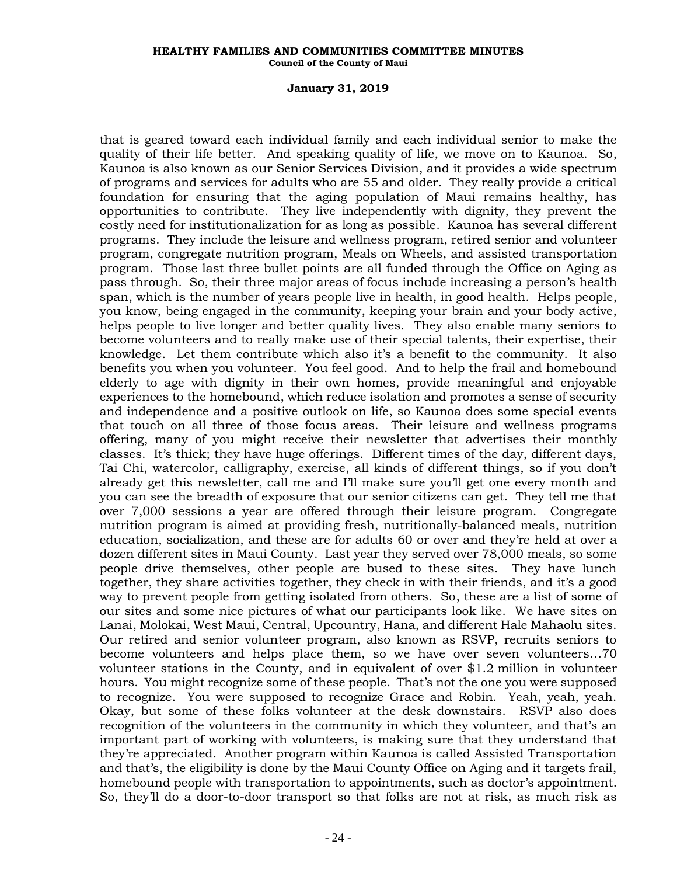### **January 31, 2019**

that is geared toward each individual family and each individual senior to make the quality of their life better. And speaking quality of life, we move on to Kaunoa. So, Kaunoa is also known as our Senior Services Division, and it provides a wide spectrum of programs and services for adults who are 55 and older. They really provide a critical foundation for ensuring that the aging population of Maui remains healthy, has opportunities to contribute. They live independently with dignity, they prevent the costly need for institutionalization for as long as possible. Kaunoa has several different programs. They include the leisure and wellness program, retired senior and volunteer program, congregate nutrition program, Meals on Wheels, and assisted transportation program. Those last three bullet points are all funded through the Office on Aging as pass through. So, their three major areas of focus include increasing a person's health span, which is the number of years people live in health, in good health. Helps people, you know, being engaged in the community, keeping your brain and your body active, helps people to live longer and better quality lives. They also enable many seniors to become volunteers and to really make use of their special talents, their expertise, their knowledge. Let them contribute which also it's a benefit to the community. It also benefits you when you volunteer. You feel good. And to help the frail and homebound elderly to age with dignity in their own homes, provide meaningful and enjoyable experiences to the homebound, which reduce isolation and promotes a sense of security and independence and a positive outlook on life, so Kaunoa does some special events that touch on all three of those focus areas. Their leisure and wellness programs offering, many of you might receive their newsletter that advertises their monthly classes. It's thick; they have huge offerings. Different times of the day, different days, Tai Chi, watercolor, calligraphy, exercise, all kinds of different things, so if you don't already get this newsletter, call me and I'll make sure you'll get one every month and you can see the breadth of exposure that our senior citizens can get. They tell me that over 7,000 sessions a year are offered through their leisure program. Congregate nutrition program is aimed at providing fresh, nutritionally-balanced meals, nutrition education, socialization, and these are for adults 60 or over and they're held at over a dozen different sites in Maui County. Last year they served over 78,000 meals, so some people drive themselves, other people are bused to these sites. They have lunch together, they share activities together, they check in with their friends, and it's a good way to prevent people from getting isolated from others. So, these are a list of some of our sites and some nice pictures of what our participants look like. We have sites on Lanai, Molokai, West Maui, Central, Upcountry, Hana, and different Hale Mahaolu sites. Our retired and senior volunteer program, also known as RSVP, recruits seniors to become volunteers and helps place them, so we have over seven volunteers…70 volunteer stations in the County, and in equivalent of over \$1.2 million in volunteer hours. You might recognize some of these people. That's not the one you were supposed to recognize. You were supposed to recognize Grace and Robin. Yeah, yeah, yeah. Okay, but some of these folks volunteer at the desk downstairs. RSVP also does recognition of the volunteers in the community in which they volunteer, and that's an important part of working with volunteers, is making sure that they understand that they're appreciated. Another program within Kaunoa is called Assisted Transportation and that's, the eligibility is done by the Maui County Office on Aging and it targets frail, homebound people with transportation to appointments, such as doctor's appointment. So, they'll do a door-to-door transport so that folks are not at risk, as much risk as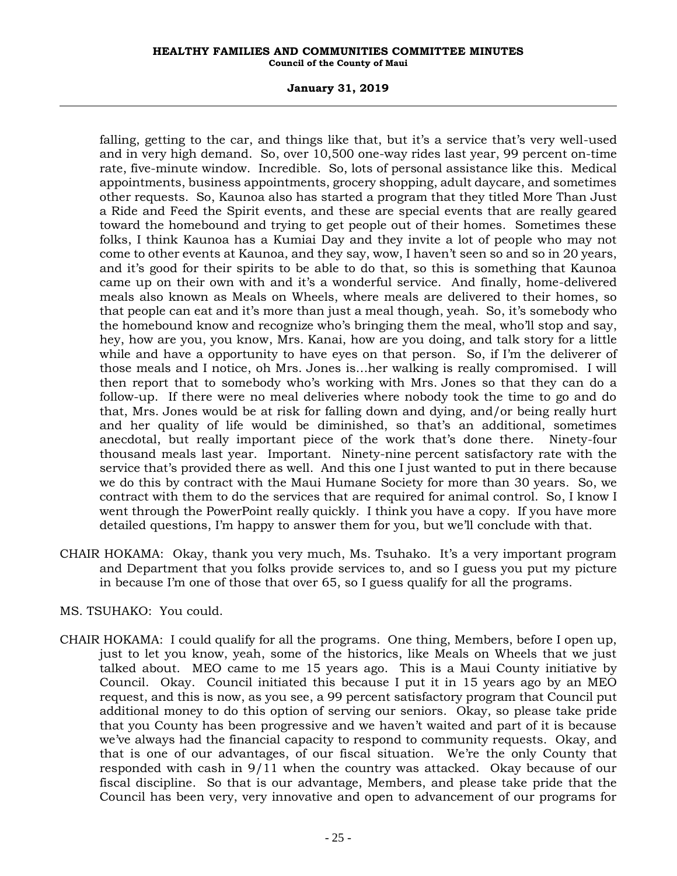# **January 31, 2019**

falling, getting to the car, and things like that, but it's a service that's very well-used and in very high demand. So, over 10,500 one-way rides last year, 99 percent on-time rate, five-minute window. Incredible. So, lots of personal assistance like this. Medical appointments, business appointments, grocery shopping, adult daycare, and sometimes other requests. So, Kaunoa also has started a program that they titled More Than Just a Ride and Feed the Spirit events, and these are special events that are really geared toward the homebound and trying to get people out of their homes. Sometimes these folks, I think Kaunoa has a Kumiai Day and they invite a lot of people who may not come to other events at Kaunoa, and they say, wow, I haven't seen so and so in 20 years, and it's good for their spirits to be able to do that, so this is something that Kaunoa came up on their own with and it's a wonderful service. And finally, home-delivered meals also known as Meals on Wheels, where meals are delivered to their homes, so that people can eat and it's more than just a meal though, yeah. So, it's somebody who the homebound know and recognize who's bringing them the meal, who'll stop and say, hey, how are you, you know, Mrs. Kanai, how are you doing, and talk story for a little while and have a opportunity to have eyes on that person. So, if I'm the deliverer of those meals and I notice, oh Mrs. Jones is…her walking is really compromised. I will then report that to somebody who's working with Mrs. Jones so that they can do a follow-up. If there were no meal deliveries where nobody took the time to go and do that, Mrs. Jones would be at risk for falling down and dying, and/or being really hurt and her quality of life would be diminished, so that's an additional, sometimes anecdotal, but really important piece of the work that's done there. Ninety-four thousand meals last year. Important. Ninety-nine percent satisfactory rate with the service that's provided there as well. And this one I just wanted to put in there because we do this by contract with the Maui Humane Society for more than 30 years. So, we contract with them to do the services that are required for animal control. So, I know I went through the PowerPoint really quickly. I think you have a copy. If you have more detailed questions, I'm happy to answer them for you, but we'll conclude with that.

- CHAIR HOKAMA: Okay, thank you very much, Ms. Tsuhako. It's a very important program and Department that you folks provide services to, and so I guess you put my picture in because I'm one of those that over 65, so I guess qualify for all the programs.
- MS. TSUHAKO: You could.
- CHAIR HOKAMA: I could qualify for all the programs. One thing, Members, before I open up, just to let you know, yeah, some of the historics, like Meals on Wheels that we just talked about. MEO came to me 15 years ago. This is a Maui County initiative by Council. Okay. Council initiated this because I put it in 15 years ago by an MEO request, and this is now, as you see, a 99 percent satisfactory program that Council put additional money to do this option of serving our seniors. Okay, so please take pride that you County has been progressive and we haven't waited and part of it is because we've always had the financial capacity to respond to community requests. Okay, and that is one of our advantages, of our fiscal situation. We're the only County that responded with cash in 9/11 when the country was attacked. Okay because of our fiscal discipline. So that is our advantage, Members, and please take pride that the Council has been very, very innovative and open to advancement of our programs for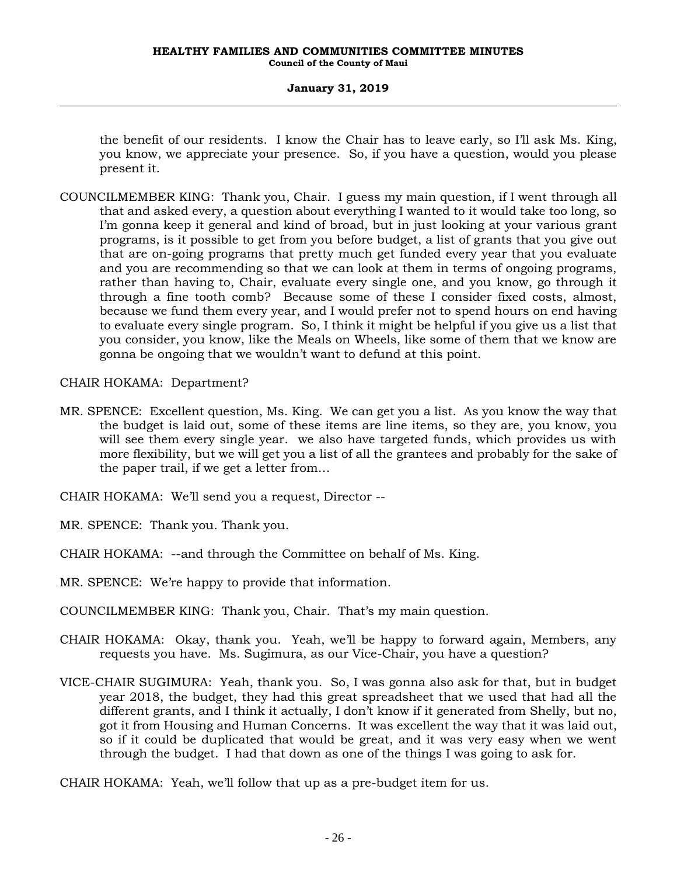# **January 31, 2019**

the benefit of our residents. I know the Chair has to leave early, so I'll ask Ms. King, you know, we appreciate your presence. So, if you have a question, would you please present it.

COUNCILMEMBER KING: Thank you, Chair. I guess my main question, if I went through all that and asked every, a question about everything I wanted to it would take too long, so I'm gonna keep it general and kind of broad, but in just looking at your various grant programs, is it possible to get from you before budget, a list of grants that you give out that are on-going programs that pretty much get funded every year that you evaluate and you are recommending so that we can look at them in terms of ongoing programs, rather than having to, Chair, evaluate every single one, and you know, go through it through a fine tooth comb? Because some of these I consider fixed costs, almost, because we fund them every year, and I would prefer not to spend hours on end having to evaluate every single program. So, I think it might be helpful if you give us a list that you consider, you know, like the Meals on Wheels, like some of them that we know are gonna be ongoing that we wouldn't want to defund at this point.

CHAIR HOKAMA: Department?

- MR. SPENCE: Excellent question, Ms. King. We can get you a list. As you know the way that the budget is laid out, some of these items are line items, so they are, you know, you will see them every single year. we also have targeted funds, which provides us with more flexibility, but we will get you a list of all the grantees and probably for the sake of the paper trail, if we get a letter from…
- CHAIR HOKAMA: We'll send you a request, Director --
- MR. SPENCE: Thank you. Thank you.
- CHAIR HOKAMA: --and through the Committee on behalf of Ms. King.
- MR. SPENCE: We're happy to provide that information.
- COUNCILMEMBER KING: Thank you, Chair. That's my main question.
- CHAIR HOKAMA: Okay, thank you. Yeah, we'll be happy to forward again, Members, any requests you have. Ms. Sugimura, as our Vice-Chair, you have a question?
- VICE-CHAIR SUGIMURA: Yeah, thank you. So, I was gonna also ask for that, but in budget year 2018, the budget, they had this great spreadsheet that we used that had all the different grants, and I think it actually, I don't know if it generated from Shelly, but no, got it from Housing and Human Concerns. It was excellent the way that it was laid out, so if it could be duplicated that would be great, and it was very easy when we went through the budget. I had that down as one of the things I was going to ask for.
- CHAIR HOKAMA: Yeah, we'll follow that up as a pre-budget item for us.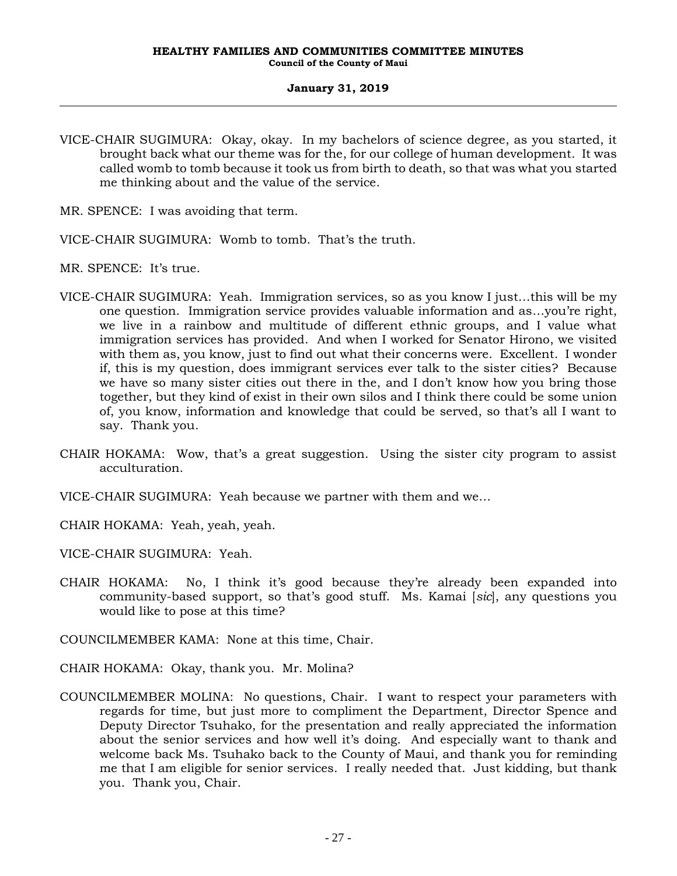- VICE-CHAIR SUGIMURA: Okay, okay. In my bachelors of science degree, as you started, it brought back what our theme was for the, for our college of human development. It was called womb to tomb because it took us from birth to death, so that was what you started me thinking about and the value of the service.
- MR. SPENCE: I was avoiding that term.
- VICE-CHAIR SUGIMURA: Womb to tomb. That's the truth.
- MR. SPENCE: It's true.
- VICE-CHAIR SUGIMURA: Yeah. Immigration services, so as you know I just…this will be my one question. Immigration service provides valuable information and as…you're right, we live in a rainbow and multitude of different ethnic groups, and I value what immigration services has provided. And when I worked for Senator Hirono, we visited with them as, you know, just to find out what their concerns were. Excellent. I wonder if, this is my question, does immigrant services ever talk to the sister cities? Because we have so many sister cities out there in the, and I don't know how you bring those together, but they kind of exist in their own silos and I think there could be some union of, you know, information and knowledge that could be served, so that's all I want to say. Thank you.
- CHAIR HOKAMA: Wow, that's a great suggestion. Using the sister city program to assist acculturation.
- VICE-CHAIR SUGIMURA: Yeah because we partner with them and we…
- CHAIR HOKAMA: Yeah, yeah, yeah.
- VICE-CHAIR SUGIMURA: Yeah.
- CHAIR HOKAMA: No, I think it's good because they're already been expanded into community-based support, so that's good stuff. Ms. Kamai [*sic*], any questions you would like to pose at this time?
- COUNCILMEMBER KAMA: None at this time, Chair.
- CHAIR HOKAMA: Okay, thank you. Mr. Molina?
- COUNCILMEMBER MOLINA: No questions, Chair. I want to respect your parameters with regards for time, but just more to compliment the Department, Director Spence and Deputy Director Tsuhako, for the presentation and really appreciated the information about the senior services and how well it's doing. And especially want to thank and welcome back Ms. Tsuhako back to the County of Maui, and thank you for reminding me that I am eligible for senior services. I really needed that. Just kidding, but thank you. Thank you, Chair.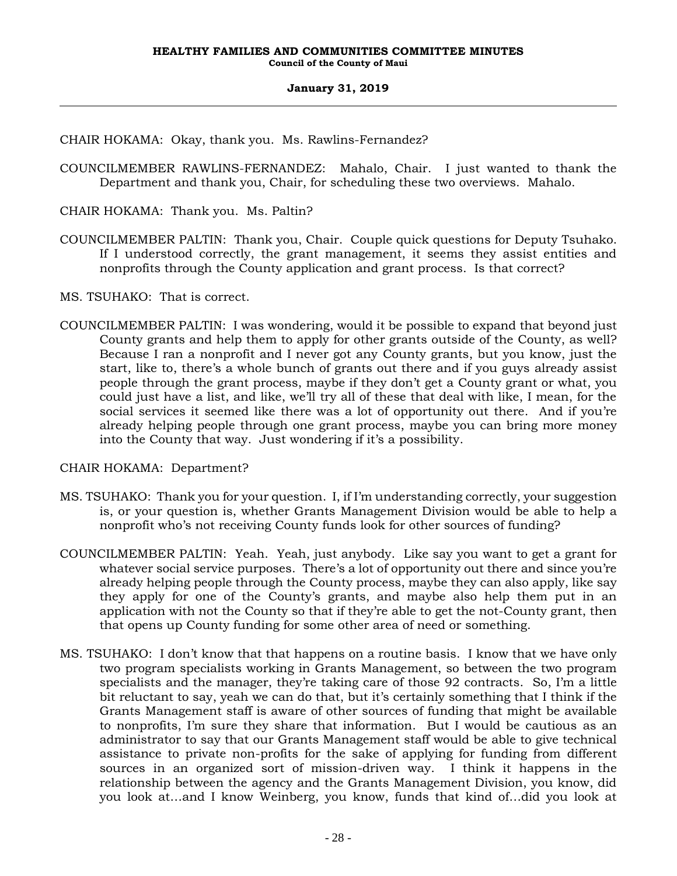CHAIR HOKAMA: Okay, thank you. Ms. Rawlins-Fernandez?

COUNCILMEMBER RAWLINS-FERNANDEZ: Mahalo, Chair. I just wanted to thank the Department and thank you, Chair, for scheduling these two overviews. Mahalo.

CHAIR HOKAMA: Thank you. Ms. Paltin?

- COUNCILMEMBER PALTIN: Thank you, Chair. Couple quick questions for Deputy Tsuhako. If I understood correctly, the grant management, it seems they assist entities and nonprofits through the County application and grant process. Is that correct?
- MS. TSUHAKO: That is correct.
- COUNCILMEMBER PALTIN: I was wondering, would it be possible to expand that beyond just County grants and help them to apply for other grants outside of the County, as well? Because I ran a nonprofit and I never got any County grants, but you know, just the start, like to, there's a whole bunch of grants out there and if you guys already assist people through the grant process, maybe if they don't get a County grant or what, you could just have a list, and like, we'll try all of these that deal with like, I mean, for the social services it seemed like there was a lot of opportunity out there. And if you're already helping people through one grant process, maybe you can bring more money into the County that way. Just wondering if it's a possibility.

CHAIR HOKAMA: Department?

- MS. TSUHAKO: Thank you for your question. I, if I'm understanding correctly, your suggestion is, or your question is, whether Grants Management Division would be able to help a nonprofit who's not receiving County funds look for other sources of funding?
- COUNCILMEMBER PALTIN: Yeah. Yeah, just anybody. Like say you want to get a grant for whatever social service purposes. There's a lot of opportunity out there and since you're already helping people through the County process, maybe they can also apply, like say they apply for one of the County's grants, and maybe also help them put in an application with not the County so that if they're able to get the not-County grant, then that opens up County funding for some other area of need or something.
- MS. TSUHAKO: I don't know that that happens on a routine basis. I know that we have only two program specialists working in Grants Management, so between the two program specialists and the manager, they're taking care of those 92 contracts. So, I'm a little bit reluctant to say, yeah we can do that, but it's certainly something that I think if the Grants Management staff is aware of other sources of funding that might be available to nonprofits, I'm sure they share that information. But I would be cautious as an administrator to say that our Grants Management staff would be able to give technical assistance to private non-profits for the sake of applying for funding from different sources in an organized sort of mission-driven way. I think it happens in the relationship between the agency and the Grants Management Division, you know, did you look at…and I know Weinberg, you know, funds that kind of…did you look at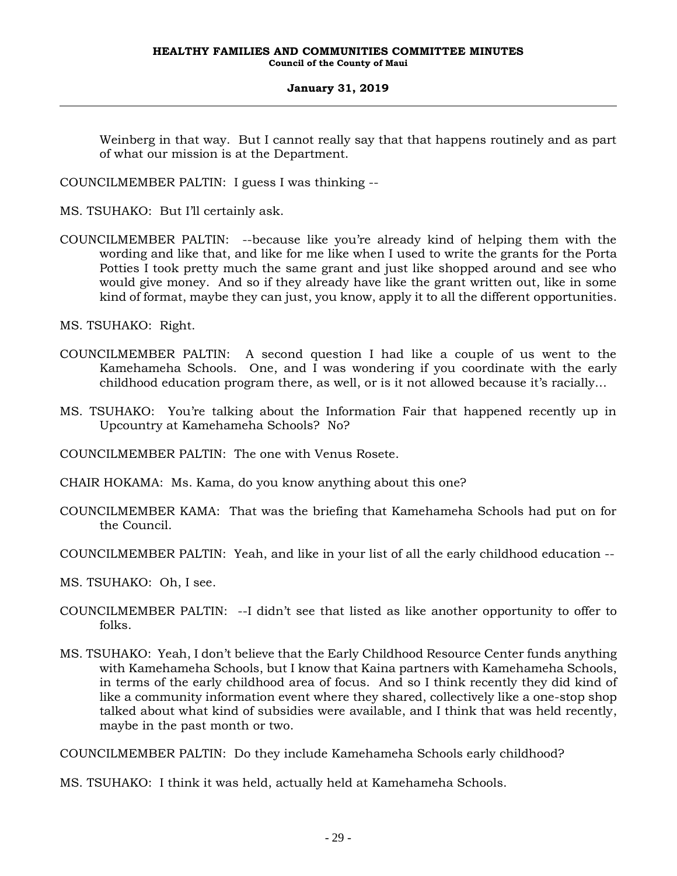Weinberg in that way. But I cannot really say that that happens routinely and as part of what our mission is at the Department.

COUNCILMEMBER PALTIN: I guess I was thinking --

MS. TSUHAKO: But I'll certainly ask.

COUNCILMEMBER PALTIN: --because like you're already kind of helping them with the wording and like that, and like for me like when I used to write the grants for the Porta Potties I took pretty much the same grant and just like shopped around and see who would give money. And so if they already have like the grant written out, like in some kind of format, maybe they can just, you know, apply it to all the different opportunities.

MS. TSUHAKO: Right.

- COUNCILMEMBER PALTIN: A second question I had like a couple of us went to the Kamehameha Schools. One, and I was wondering if you coordinate with the early childhood education program there, as well, or is it not allowed because it's racially…
- MS. TSUHAKO: You're talking about the Information Fair that happened recently up in Upcountry at Kamehameha Schools? No?

COUNCILMEMBER PALTIN: The one with Venus Rosete.

CHAIR HOKAMA: Ms. Kama, do you know anything about this one?

- COUNCILMEMBER KAMA: That was the briefing that Kamehameha Schools had put on for the Council.
- COUNCILMEMBER PALTIN: Yeah, and like in your list of all the early childhood education --
- MS. TSUHAKO: Oh, I see.
- COUNCILMEMBER PALTIN: --I didn't see that listed as like another opportunity to offer to folks.
- MS. TSUHAKO: Yeah, I don't believe that the Early Childhood Resource Center funds anything with Kamehameha Schools, but I know that Kaina partners with Kamehameha Schools, in terms of the early childhood area of focus. And so I think recently they did kind of like a community information event where they shared, collectively like a one-stop shop talked about what kind of subsidies were available, and I think that was held recently, maybe in the past month or two.

COUNCILMEMBER PALTIN: Do they include Kamehameha Schools early childhood?

MS. TSUHAKO: I think it was held, actually held at Kamehameha Schools.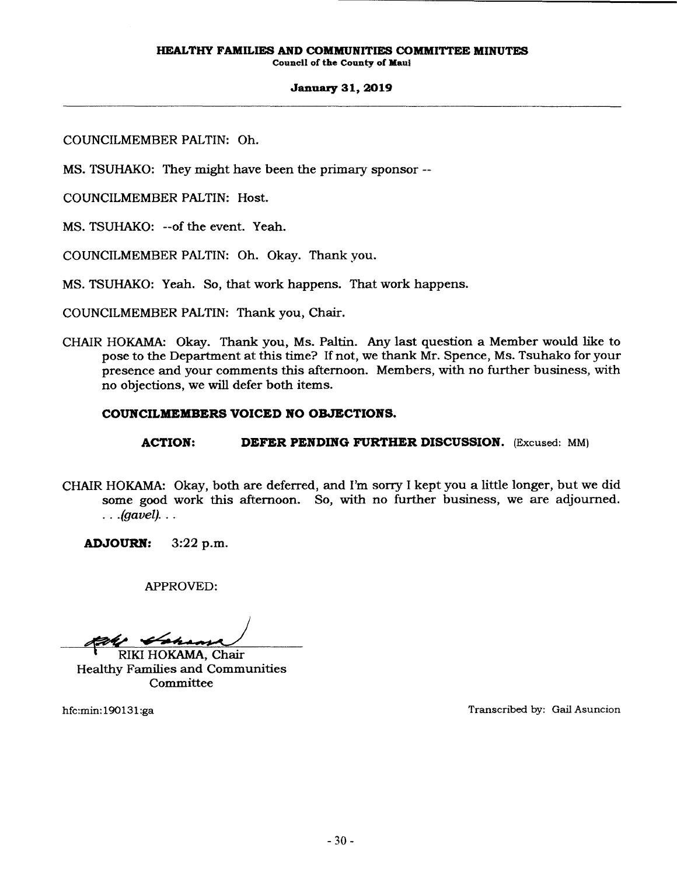Council of the County of Maul

### January 31, 2019

COUNCILMEMBER PALTIN: Oh.

MS. TSUHAKO: They might have been the primary sponsor --

COUNCILMEMBER PALTIN: Host.

MS. TSUHAKO: --of the event. Yeah.

COUNCILMEMBER PALTIN: Oh. Okay. Thank you.

MS. TSUHAKO: Yeah. So, that work happens. That work happens.

COUNCILMEMBER PALTIN: Thank you, Chair.

CHAIR HOKAMA: Okay. Thank you, Ms. Paltin. Any last question a Member would like to pose to the Department at this time? If not, we thank Mr. Spence, Ms. Tsuhako for your presence and your comments this afternoon. Members, with no further business, with no objections, we will defer both items.

# COUNCILMEMBERS VOICED NO OBJECTIONS.

ACTION: DEFER PENDING FURTHER DISCUSSION. (Excused: MM)

CHAIR HOKAMA: Okay, both are deferred, and I'm sony I kept you a little longer, but we did some good work this afternoon. So, with no further business, we are adjourned.  $\ldots$  (gavel)...

ADJOURN: 3:22 p.m.

APPROVED:

RIKI HOKAMA, Chair

Healthy Families and Communities **Committee** 

hfc:min: 190131 :ga Transcribed by: Gail Asuncion